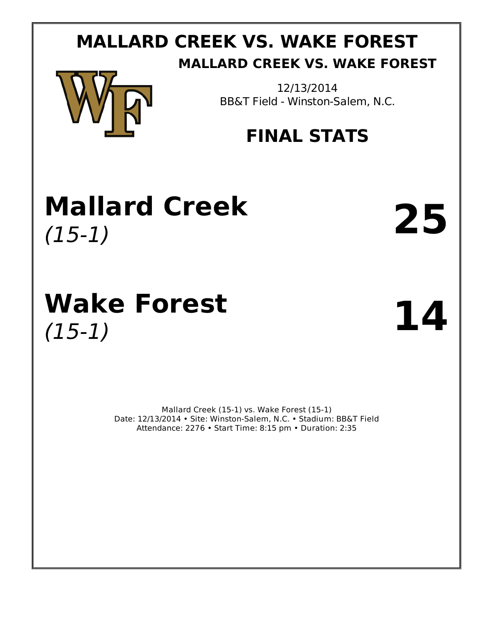# **MALLARD CREEK VS. WAKE FOREST MALLARD CREEK VS. WAKE FOREST**



12/13/2014 BB&T Field - Winston-Salem, N.C.

# **FINAL STATS**

# **Mallard Creek** (15-1) **25**

# **Wake Forest** (15-1) **14**

Mallard Creek (15-1) vs. Wake Forest (15-1) Date: 12/13/2014 • Site: Winston-Salem, N.C. • Stadium: BB&T Field Attendance: 2276 • Start Time: 8:15 pm • Duration: 2:35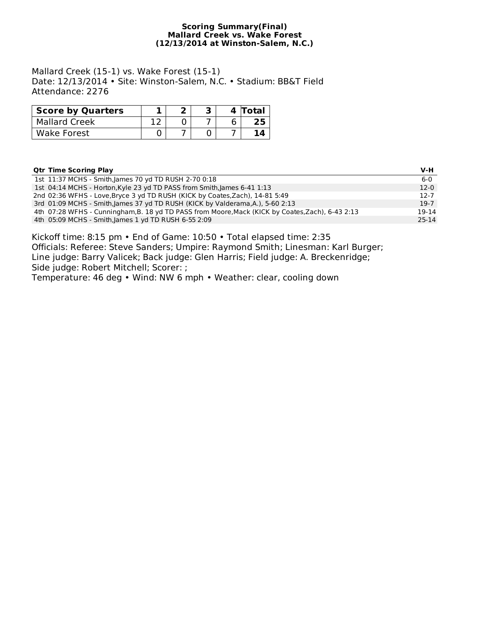# **Scoring Summary(Final) Mallard Creek vs. Wake Forest (12/13/2014 at Winston-Salem, N.C.)**

Mallard Creek (15-1) vs. Wake Forest (15-1) Date: 12/13/2014 • Site: Winston-Salem, N.C. • Stadium: BB&T Field Attendance: 2276

| <b>Score by Quarters</b> |  |  | 4 Total |
|--------------------------|--|--|---------|
| <b>Mallard Creek</b>     |  |  |         |
| Wake Forest              |  |  |         |

# **Qtr Time Scoring Play V-H**

|  | $6-0$                                                                                                                                                                                                                                                                                                                                                                                                                                                          |
|--|----------------------------------------------------------------------------------------------------------------------------------------------------------------------------------------------------------------------------------------------------------------------------------------------------------------------------------------------------------------------------------------------------------------------------------------------------------------|
|  | $12-0$                                                                                                                                                                                                                                                                                                                                                                                                                                                         |
|  | $12 - 7$                                                                                                                                                                                                                                                                                                                                                                                                                                                       |
|  | $19-7$                                                                                                                                                                                                                                                                                                                                                                                                                                                         |
|  | 19-14                                                                                                                                                                                                                                                                                                                                                                                                                                                          |
|  | 25-14                                                                                                                                                                                                                                                                                                                                                                                                                                                          |
|  | 1st 11:37 MCHS - Smith, James 70 yd TD RUSH 2-70 0:18<br>1st 04:14 MCHS - Horton, Kyle 23 yd TD PASS from Smith, James 6-41 1:13<br>2nd 02:36 WFHS - Love, Bryce 3 yd TD RUSH (KICK by Coates, Zach), 14-81 5:49<br>3rd 01:09 MCHS - Smith, James 37 yd TD RUSH (KICK by Valderama, A.), 5-60 2:13<br>4th 07:28 WFHS - Cunningham, B. 18 yd TD PASS from Moore, Mack (KICK by Coates, Zach), 6-43 2:13<br>4th 05:09 MCHS - Smith, James 1 yd TD RUSH 6-55 2:09 |

Kickoff time: 8:15 pm • End of Game: 10:50 • Total elapsed time: 2:35 Officials: Referee: Steve Sanders; Umpire: Raymond Smith; Linesman: Karl Burger; Line judge: Barry Valicek; Back judge: Glen Harris; Field judge: A. Breckenridge; Side judge: Robert Mitchell; Scorer: ;

Temperature: 46 deg • Wind: NW 6 mph • Weather: clear, cooling down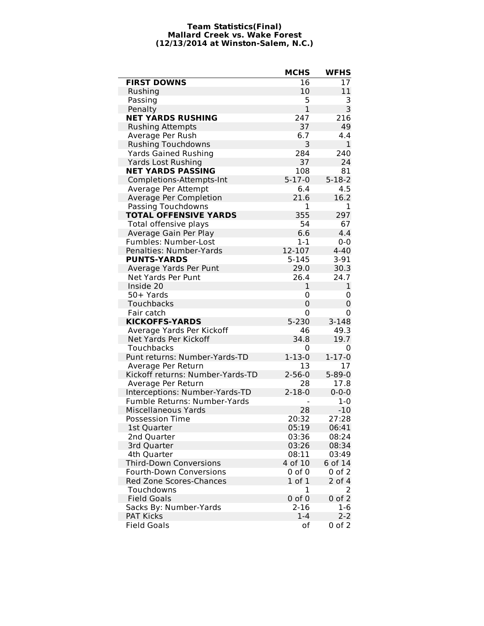# **Team Statistics(Final) Mallard Creek vs. Wake Forest (12/13/2014 at Winston-Salem, N.C.)**

|                                  | <b>MCHS</b>    | <b>WFHS</b>  |
|----------------------------------|----------------|--------------|
| <b>FIRST DOWNS</b>               | 16             | 17           |
| Rushing                          | 10             | 11           |
| Passing                          | 5              | 3            |
| Penalty                          | $\mathbf{1}$   | 3            |
| <b>NET YARDS RUSHING</b>         | 247            | 216          |
| <b>Rushing Attempts</b>          | 37             | 49           |
| Average Per Rush                 | 6.7            | 4.4          |
| <b>Rushing Touchdowns</b>        | 3              | 1            |
| <b>Yards Gained Rushing</b>      | 284            | 240          |
| <b>Yards Lost Rushing</b>        | 37             | 24           |
| <b>NET YARDS PASSING</b>         | 108            | 81           |
| Completions-Attempts-Int         | $5 - 17 - 0$   | $5 - 18 - 2$ |
| Average Per Attempt              | 6.4            | 4.5          |
| Average Per Completion           | 21.6           | 16.2         |
| Passing Touchdowns               | 1              | 1            |
| <b>TOTAL OFFENSIVE YARDS</b>     | 355            | 297          |
| Total offensive plays            | 54             | 67           |
| Average Gain Per Play            | 6.6            | 4.4          |
| Fumbles: Number-Lost             | $1-1$          | $0 - 0$      |
| Penalties: Number-Yards          | 12-107         | $4 - 40$     |
| <b>PUNTS-YARDS</b>               | $5 - 145$      | $3 - 91$     |
| Average Yards Per Punt           | 29.0           | 30.3         |
| Net Yards Per Punt               | 26.4           | 24.7         |
| Inside 20                        | 1              | 1            |
| 50+ Yards                        | 0              | 0            |
| Touchbacks                       | $\overline{0}$ | 0            |
| Fair catch                       | 0              | 0            |
| <b>KICKOFFS-YARDS</b>            | 5-230          | $3 - 148$    |
| Average Yards Per Kickoff        | 46             | 49.3         |
| Net Yards Per Kickoff            | 34.8           | 19.7         |
| Touchbacks                       | 0              | 0            |
| Punt returns: Number-Yards-TD    | $1 - 13 - 0$   | $1 - 17 - 0$ |
| Average Per Return               | 13             | 17           |
| Kickoff returns: Number-Yards-TD | $2 - 56 - 0$   | $5 - 89 - 0$ |
| Average Per Return               | 28             | 17.8         |
| Interceptions: Number-Yards-TD   | $2 - 18 - 0$   | $0 - 0 - 0$  |
| Fumble Returns: Number-Yards     |                | $1 - 0$      |
| <b>Miscellaneous Yards</b>       | 28             | $-10$        |
| <b>Possession Time</b>           | 20:32          | 27:28        |
| 1st Quarter                      | 05:19          | 06:41        |
| 2nd Quarter                      | 03:36          | 08:24        |
| 3rd Quarter                      | 03:26          | 08:34        |
| 4th Quarter                      | 08:11          | 03:49        |
| <b>Third-Down Conversions</b>    | 4 of 10        | 6 of 14      |
| <b>Fourth-Down Conversions</b>   | $0$ of $0$     | $0$ of $2$   |
| Red Zone Scores-Chances          | $1$ of $1$     | 2 of 4       |
| Touchdowns                       | 1              | 2            |
| <b>Field Goals</b>               | $0$ of $0$     | $0$ of $2$   |
| Sacks By: Number-Yards           | $2 - 16$       | $1-6$        |
| <b>PAT Kicks</b>                 | $1 - 4$        | $2 - 2$      |
| <b>Field Goals</b>               | оf             | $0$ of $2$   |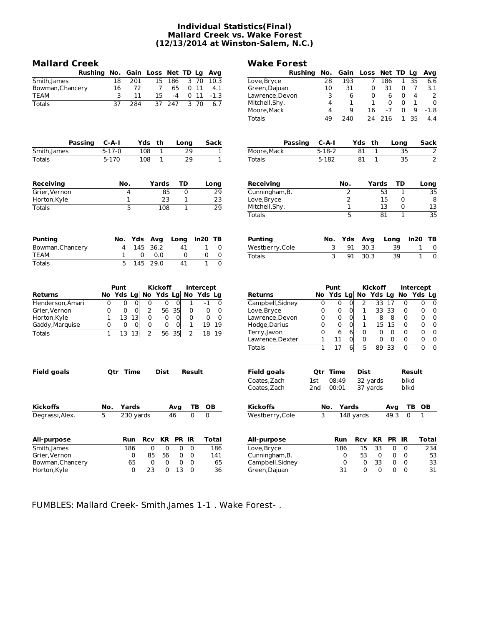# **Individual Statistics(Final) Mallard Creek vs. Wake Forest (12/13/2014 at Winston-Salem, N.C.)**

| <b>Mallard Creek</b> |                                  |                                  |                                 |                                | <b>Wake Forest</b>                |                 |                            |                          |                           |                                 |                                  |
|----------------------|----------------------------------|----------------------------------|---------------------------------|--------------------------------|-----------------------------------|-----------------|----------------------------|--------------------------|---------------------------|---------------------------------|----------------------------------|
| <b>Rushing</b>       | No.                              | Gain Loss                        | Net TD Lg                       | Avg                            | <b>Rushing</b>                    | No.             | Gain                       | Loss Net TD Lg           |                           |                                 | Avg                              |
| Smith, James         | 201<br>18                        | 15                               | 186<br>3 70                     | 10.3                           | Love, Bryce                       | 28              | 193                        | 7                        | 186                       | 1<br>35                         | 6.6                              |
| Bowman, Chancery     | 16<br>72                         | 7                                | 011<br>65                       | 4.1                            | Green, Dajuan                     | 10              | 31                         | 0                        | 31                        | 0<br>7                          | 3.1                              |
| <b>TEAM</b>          | 3<br>11                          | 15                               | $-4$<br>011                     | $-1.3$                         | Lawrence, Devon                   | 3               | 6                          | $\mathbf 0$              | 6                         | $\mathbf 0$<br>$\overline{4}$   | 2                                |
| <b>Totals</b>        | 37<br>284                        | 247<br>37                        | $\overline{3}$                  | $\overline{70}$<br>6.7         | Mitchell, Shy.                    | 4               | $\mathbf{1}$               | $\mathbf{1}$             | $\mathbf 0$               | 0<br>$\mathbf{1}$               | $\mathbf 0$                      |
|                      |                                  |                                  |                                 |                                | Moore, Mack                       | 4               | 9                          | 16                       | $-7$                      | 0<br>9                          | $-1.8$                           |
|                      |                                  |                                  |                                 |                                | <b>Totals</b>                     | 49              | 240                        | 24                       | 216                       | $\overline{35}$<br>$\mathbf{1}$ | 4.4                              |
| <b>Passing</b>       | C-A-I                            | Yds<br>th                        | Long                            | <b>Sack</b>                    | Passing                           | $C - A - I$     |                            | Yds th                   |                           | Long                            | Sack                             |
| Smith, James         | $5 - 17 - 0$                     | 108<br>$\overline{1}$            | $\overline{29}$                 | $\overline{1}$                 | Moore, Mack                       | $5 - 18 - 2$    |                            | 81<br>$\overline{1}$     |                           | $\overline{35}$                 | 2                                |
| <b>Totals</b>        | 5-170                            | $\overline{108}$<br>$\mathbf{1}$ | 29                              | $\overline{1}$                 | <b>Totals</b>                     | 5-182           |                            | $\overline{81}$<br>1     |                           | $\overline{35}$                 | $\overline{2}$                   |
| Receiving            | No.                              | Yards                            | TD                              | Long                           | <b>Receiving</b>                  |                 | No.                        | Yards                    |                           | TD                              | Long                             |
| Grier, Vernon        | 4                                | 85                               | $\mathbf 0$                     | 29                             | Cunningham, B.                    |                 | $\overline{2}$             |                          | 53                        | 1                               | 35                               |
| Horton, Kyle         | 1                                | 23                               | 1                               | 23                             | Love, Bryce                       |                 | $\overline{2}$             |                          | 15                        | 0                               | 8                                |
| <b>Totals</b>        | 5                                | 108                              | $\mathbf{1}$                    | 29                             | Mitchell, Shy.                    |                 | 1                          |                          | 13                        | 0                               | 13                               |
|                      |                                  |                                  |                                 |                                | <b>Totals</b>                     |                 | 5                          |                          | 81                        | $\mathbf{1}$                    | $\overline{35}$                  |
| Punting              | No.<br>Yds                       | Avg                              | Long                            | In20<br>TB                     | <b>Punting</b>                    | No.             | Yds                        | Avg                      | Long                      | In20                            | ТB                               |
| Bowman, Chancery     | 4<br>145                         | 36.2                             | 41                              | 1<br>$\mathbf 0$               | Westberry, Cole                   | 3               | 91                         | 30.3                     | 39                        |                                 | 1<br>0                           |
| TEAM                 | 1<br>0                           | 0.0                              | 0                               | 0<br>0                         | <b>Totals</b>                     | 3               | 91                         | 30.3                     | 39                        |                                 | $\overline{0}$<br>$\mathbf{1}$   |
| <b>Totals</b>        | 5<br>145                         | 29.0                             | 41                              | $\overline{0}$<br>$\mathbf{1}$ |                                   |                 |                            |                          |                           |                                 |                                  |
| <b>Returns</b>       | Punt<br>Yds Lg<br>No.            | <b>Kickoff</b><br>Yds Lg<br>No   |                                 | Intercept<br>No Yds Lg         | <b>Returns</b>                    | Punt<br>No      | Yds Lg                     | <b>Kickoff</b><br>No     | Yds Lg                    | <b>Intercept</b><br>No          | Yds Lg                           |
| Henderson, Amari     | $\Omega$<br>$\Omega$<br>$\Omega$ | $\Omega$<br>0                    | $\Omega$<br>$\mathbf{1}$        | $-1$<br>0                      | Campbell, Sidney                  | $\Omega$        | $\Omega$<br>0              | $\overline{2}$<br>33     | 17                        | $\Omega$                        | $\mathbf 0$<br>0                 |
| Grier, Vernon        | $\Omega$<br>0<br>$\Omega$        | 56 35<br>2                       | $\Omega$                        | 0<br>$\Omega$                  | Love, Bryce                       | 0               | $\mathbf 0$<br>0           | 1                        | 33 33                     | $\Omega$                        | 0<br>0                           |
| Horton, Kyle         | 1<br>13 13                       | 0<br>0                           | 0<br>0                          | 0<br>0                         | Lawrence, Devon                   | 0               | 0<br>$\overline{0}$        | 1                        | 8<br>8                    | 0                               | 0<br>0                           |
| Gaddy, Marquise      | $\Omega$<br>$\Omega$<br>$\Omega$ | 0<br>0                           | $\mathbf{1}$<br>0               | 19 19                          | Hodge, Darius                     | $\Omega$<br>0   | 0<br>$\mathbf 0$<br>6<br>6 | $\mathbf{1}$<br>0        | 15 15<br>0<br>$\mathbf 0$ | 0<br>0                          | $\Omega$<br>0<br>0<br>0          |
| <b>Totals</b>        | $\overline{1}$<br>13<br>13       | 2<br>56                          | 35<br>$\overline{2}$            | 18<br>19                       | Terry,Javon<br>Lawrence, Dexter   | 1               | 11<br>0                    | 0                        | 0<br>0                    | 0                               | $\Omega$<br>$\mathbf 0$          |
|                      |                                  |                                  |                                 |                                | <b>Totals</b>                     | $\mathbf{1}$    | 6<br>17                    | 5<br>89                  | 33                        | $\overline{0}$                  | $\overline{0}$<br>$\overline{0}$ |
|                      |                                  |                                  |                                 |                                |                                   |                 |                            |                          |                           |                                 |                                  |
| Field goals          | <b>Otr Time</b>                  | <b>Dist</b>                      | Result                          |                                | <b>Field goals</b>                | <b>Otr Time</b> |                            | <b>Dist</b>              |                           | Result                          |                                  |
|                      |                                  |                                  |                                 |                                | Coates.Zach                       | 1st             | 08:49                      | 32 yards                 |                           | blkd                            |                                  |
|                      |                                  |                                  |                                 |                                | Coates, Zach                      | 2 <sub>nd</sub> | 00:01                      | 37 yards                 |                           | blkd                            |                                  |
| Kickoffs             | No.<br>Yards                     |                                  | ΤВ<br>Avg                       | OВ                             | <b>Kickoffs</b>                   | No.             | Yards                      |                          | Avg                       | тв                              | OВ                               |
| Degrassi, Alex.      | 5<br>230 yards                   | 46                               | $\overline{0}$                  | $\Omega$                       | Westberry, Cole                   | 3               | 148 yards                  |                          | 49.3                      | $\overline{0}$                  | $\mathbf{1}$                     |
| All-purpose          | Run                              | KR<br><b>Rcv</b>                 | <b>PR IR</b>                    | <b>Total</b>                   | All-purpose                       |                 | Run                        | KR<br><b>Rcv</b>         | PR IR                     |                                 | Total                            |
| Smith, James         | 186                              | 0<br>0                           | 0<br>0                          | 186                            | Love, Bryce                       |                 | 186                        | 15<br>33                 | 0                         | 0                               | 234                              |
| Grier,Vernon         | $\Omega$                         | 85<br>56                         | 0<br>$\Omega$                   | 141                            | Cunningham, B.                    |                 | 0                          | 53<br>0                  | $\Omega$                  | 0                               | 53                               |
| Bowman, Chancery     | 65<br>0                          | $\Omega$<br>$\Omega$<br>23<br>0  | 0<br>$\Omega$<br>13<br>$\Omega$ | 65<br>36                       | Campbell, Sidney<br>Green, Dajuan |                 | $\Omega$<br>31             | $\Omega$<br>33<br>0<br>0 | 0<br>0                    | $\Omega$<br>$\Omega$            | 33<br>31                         |
| Horton, Kyle         |                                  |                                  |                                 |                                |                                   |                 |                            |                          |                           |                                 |                                  |

FUMBLES: Mallard Creek- Smith,James 1-1 . Wake Forest- .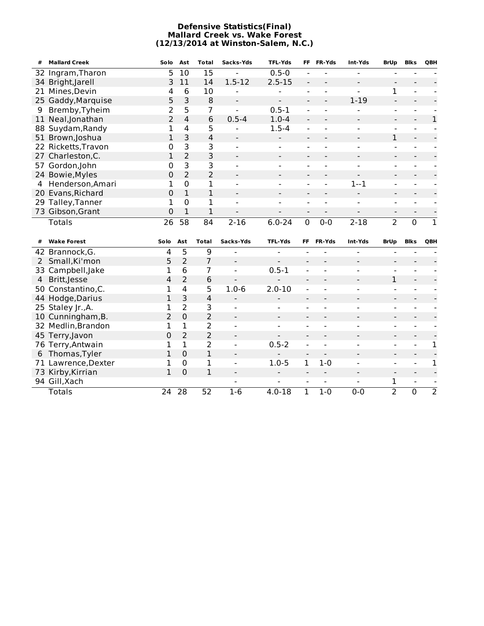# **Defensive Statistics(Final) Mallard Creek vs. Wake Forest (12/13/2014 at Winston-Salem, N.C.)**

| #              | <b>Mallard Creek</b> | Solo            | Ast             | <b>Total</b>   | Sacks-Yds                    | <b>TFL-Yds</b>               | FF                                             | <b>FR-Yds</b>                      | Int-Yds                  | <b>BrUp</b>                  | <b>Blks</b>                                | QBH            |
|----------------|----------------------|-----------------|-----------------|----------------|------------------------------|------------------------------|------------------------------------------------|------------------------------------|--------------------------|------------------------------|--------------------------------------------|----------------|
| 32             | Ingram, Tharon       | 5               | 10              | 15             |                              | $0.5 - 0$                    |                                                |                                    |                          | $\overline{a}$               |                                            |                |
|                | 34 Bright, Jarell    | 3               | 11              | 14             | $1.5 - 12$                   | $2.5 - 15$                   | $\overline{\phantom{a}}$                       |                                    |                          | $\overline{\phantom{a}}$     |                                            |                |
| 21             | Mines, Devin         | 4               | 6               | 10             | $\overline{\phantom{0}}$     | $\overline{a}$               | $\blacksquare$                                 | $\overline{a}$                     |                          | $\mathbf 1$                  | $\overline{a}$                             |                |
|                | 25 Gaddy, Marquise   | 5               | $\overline{3}$  | 8              | $\overline{\phantom{a}}$     | $\overline{a}$               | $\overline{\phantom{a}}$                       | $\blacksquare$                     | $1 - 19$                 | $\overline{\phantom{a}}$     | $\qquad \qquad -$                          |                |
| 9              | Bremby, Tyheim       | 2               | 5               | 7              |                              | $0.5 - 1$                    |                                                | $\overline{a}$                     |                          | $\frac{1}{2}$                | $\overline{a}$                             |                |
|                | 11 Neal, Jonathan    | $\overline{2}$  | $\overline{4}$  | 6              | $0.5 - 4$                    | $1.0 - 4$                    |                                                |                                    |                          | $\overline{\phantom{a}}$     | $\qquad \qquad -$                          | $\mathbf{1}$   |
|                | 88 Suydam, Randy     | 1               | $\overline{4}$  | 5              | $\blacksquare$               | $1.5 - 4$                    | $\overline{a}$                                 | $\overline{a}$                     | $\blacksquare$           | $\blacksquare$               | $\blacksquare$                             |                |
|                | 51 Brown, Joshua     | $\mathbf{1}$    | 3               | 4              | $\overline{\phantom{0}}$     | $\overline{a}$               | $\blacksquare$                                 | $\blacksquare$                     | $\blacksquare$           | $\mathbf{1}$                 | $\qquad \qquad \blacksquare$               |                |
|                | 22 Ricketts, Travon  | 0               | 3               | 3              | $\overline{a}$               | $\blacksquare$               | $\blacksquare$                                 | $\overline{a}$                     | $\overline{a}$           | $\blacksquare$               | $\blacksquare$                             |                |
|                | 27 Charleston, C.    | $\mathbf{1}$    | $\overline{2}$  | 3              | $\overline{a}$               | $\qquad \qquad \blacksquare$ | $\blacksquare$                                 | $\overline{\phantom{0}}$           | $\blacksquare$           | $\overline{\phantom{a}}$     | $\blacksquare$                             |                |
|                | 57 Gordon, John      | 0               | 3               | 3              |                              | $\overline{\phantom{a}}$     | $\blacksquare$                                 |                                    |                          | $\overline{\phantom{a}}$     |                                            |                |
|                | 24 Bowie, Myles      | 0               | $\overline{2}$  | 2              |                              | $\qquad \qquad -$            |                                                |                                    |                          | $\overline{a}$               |                                            |                |
| 4              | Henderson, Amari     | 1               | $\mathbf 0$     | 1              |                              | $\blacksquare$               | $\blacksquare$                                 |                                    | $1 - 1$                  | $\overline{a}$               |                                            |                |
|                | 20 Evans, Richard    | 0               | $\mathbf{1}$    | $\mathbf 1$    |                              | $\qquad \qquad \blacksquare$ | $\overline{\phantom{a}}$                       |                                    |                          | $\qquad \qquad -$            | $\overline{\phantom{a}}$                   |                |
|                | 29 Talley, Tanner    | 1               | $\Omega$        | 1              | $\overline{a}$               | ÷.                           | $\overline{a}$                                 | $\overline{a}$                     |                          | $\sim$                       | $\overline{a}$                             |                |
|                | 73 Gibson, Grant     | 0               | 1               | 1              |                              |                              | $\blacksquare$                                 | $\overline{\phantom{a}}$           |                          | $\qquad \qquad \blacksquare$ | $\qquad \qquad \blacksquare$               |                |
|                | <b>Totals</b>        | $\overline{26}$ | $\overline{58}$ | 84             | $2 - 16$                     | $6.0 - 24$                   | $\overline{0}$                                 | $0 - 0$                            | $2 - 18$                 | $\overline{2}$               | $\overline{0}$                             | $\overline{1}$ |
|                |                      |                 |                 |                |                              |                              |                                                |                                    |                          |                              |                                            |                |
|                |                      |                 |                 |                |                              |                              |                                                |                                    |                          |                              |                                            |                |
| #              | <b>Wake Forest</b>   | Solo            | Ast             | <b>Total</b>   | Sacks-Yds                    | <b>TFL-Yds</b>               | FF                                             | FR-Yds                             | Int-Yds                  | <b>BrUp</b>                  | <b>Blks</b>                                | <b>QBH</b>     |
|                | 42 Brannock, G.      | 4               | 5               | 9              | $\blacksquare$               |                              | $\overline{\phantom{0}}$                       |                                    |                          | $\overline{a}$               |                                            |                |
|                | Small, Ki'mon        | 5               | $\overline{2}$  | 7              | $\qquad \qquad \blacksquare$ |                              |                                                |                                    |                          | $\blacksquare$               |                                            |                |
|                | 33 Campbell, Jake    | 1               | 6               | 7              | $\overline{a}$               | $0.5 - 1$                    | $\overline{\phantom{0}}$                       | $\overline{a}$                     | $\overline{\phantom{0}}$ | $\blacksquare$               | $\overline{\phantom{0}}$                   |                |
| $\overline{4}$ | Britt, Jesse         | 4               | 2               | 6              | $\overline{a}$               |                              |                                                |                                    |                          | 1                            | $\overline{\phantom{a}}$                   |                |
|                | 50 Constantino, C.   | 1               | 4               | 5              | $1.0 - 6$                    | $2.0 - 10$                   | $\overline{\phantom{a}}$                       | $\overline{\phantom{0}}$           | $\blacksquare$           | $\blacksquare$               | $\overline{a}$                             |                |
|                | 44 Hodge, Darius     | 1               | 3               | $\overline{4}$ | $\overline{\phantom{a}}$     | $\overline{\phantom{a}}$     | $\blacksquare$                                 | $\overline{\phantom{0}}$           | $\blacksquare$           | $\blacksquare$               | $\blacksquare$                             |                |
|                | 25 Staley Jr., A.    | 1               | 2               | 3              | $\blacksquare$               | $\overline{a}$               | $\overline{\phantom{a}}$                       | $\overline{\phantom{0}}$           | $\overline{\phantom{0}}$ | $\blacksquare$               | $\blacksquare$                             |                |
|                | 10 Cunningham, B.    | 2               | 0               | $\overline{2}$ | $\blacksquare$               | $\qquad \qquad \blacksquare$ | $\overline{\phantom{a}}$                       | $\overline{\phantom{0}}$           | $\overline{\phantom{a}}$ | $\overline{\phantom{a}}$     | $\qquad \qquad \blacksquare$               |                |
|                | 32 Medlin, Brandon   | 1               | $\mathbf 1$     | 2              | $\blacksquare$               | $\overline{a}$               | $\overline{\phantom{a}}$                       | $\overline{a}$                     | $\overline{\phantom{0}}$ | $\blacksquare$               | $\overline{\phantom{0}}$                   |                |
|                | 45 Terry, Javon      | 0               | $\overline{2}$  | $\overline{2}$ | $\overline{\phantom{a}}$     |                              | $\qquad \qquad \blacksquare$                   | $\overline{\phantom{a}}$           | $\overline{\phantom{a}}$ | $\overline{\phantom{a}}$     | $\qquad \qquad \blacksquare$               |                |
|                | 76 Terry, Antwain    | 1               | 1               | 2              | $\blacksquare$               | $0.5 - 2$                    | $\overline{\phantom{a}}$                       |                                    |                          | $\overline{a}$               | $\overline{a}$                             | 1              |
| 6              | Thomas, Tyler        | 1               | 0               | $\mathbf{1}$   | $\blacksquare$               |                              | $\overline{\phantom{a}}$                       |                                    |                          | $\qquad \qquad \blacksquare$ | $\qquad \qquad \blacksquare$               |                |
| 71             | Lawrence, Dexter     | 1               | 0               | 1              | $\overline{a}$               | $1.0 - 5$                    | 1                                              | $1 - 0$                            |                          | $\overline{a}$               | $\overline{a}$                             | 1              |
|                | 73 Kirby, Kirrian    | $\mathbf{1}$    | 0               | $\mathbf{1}$   | $\blacksquare$               | $\qquad \qquad \blacksquare$ | $\blacksquare$                                 | $\blacksquare$                     | $\blacksquare$           | $\overline{\phantom{a}}$     | $\qquad \qquad \blacksquare$               |                |
|                | 94 Gill, Xach        | 24              | 28              | 52             | $1-6$                        | $4.0 - 18$                   | $\qquad \qquad \blacksquare$<br>$\overline{1}$ | $\blacksquare$<br>$\overline{1-0}$ | $0 - 0$                  | 1<br>$\overline{2}$          | $\overline{\phantom{0}}$<br>$\overline{0}$ | $\overline{2}$ |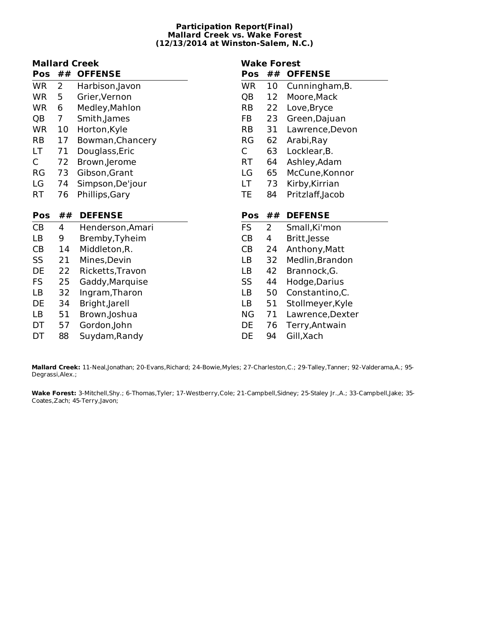# **Participation Report(Final) Mallard Creek vs. Wake Forest (12/13/2014 at Winston-Salem, N.C.)**

# **Mallard Creek Pos ## OFFENSE**

| г vэ      | $\bm{\pi}$ $\bm{\pi}$ | UI I LIVJL       |
|-----------|-----------------------|------------------|
| <b>WR</b> | $\mathbf{2}$          | Harbison, Javon  |
| WR        | 5                     | Grier, Vernon    |
| WR        | 6                     | Medley, Mahlon   |
| QB        | 7                     | Smith, James     |
| WR        | 10                    | Horton, Kyle     |
| RB        | 17                    | Bowman, Chancery |
| LT.       | 71                    | Douglass, Eric   |
| C         | 72                    | Brown, Jerome    |
| RG        | 73                    | Gibson,Grant     |
| LG        | 74                    | Simpson,De'jour  |
| RT        | 76                    | Phillips, Gary   |
|           |                       |                  |
|           |                       |                  |
| Pos       | ##                    | <b>DEFENSE</b>   |
| CB        | 4                     | Henderson, Amari |
| LВ        | 9                     | Bremby, Tyheim   |
| СB        | 14                    | Middleton, R.    |
| SS        | 21                    | Mines,Devin      |
| DE        | 22                    | Ricketts, Travon |
| FS        | 25                    | Gaddy, Marquise  |
| LB        | 32                    | Ingram, Tharon   |
| DE        | 34                    | Bright, Jarell   |
| LВ        | 51                    | Brown,Joshua     |

DT 88 Suydam,Randy

# **Wake Forest**

# **Pos ## OFFENSE** WR 10 Cunningham,B. QB 12 Moore,Mack RB 22 Love,Bryce FB 23 Green,Dajuan RB 31 Lawrence,Devon RG 62 Arabi,Ray

- C 63 Locklear,B.
- RT 64 Ashley,Adam
- LG 65 McCune,Konnor
- LT 73 Kirby,Kirrian
- TE 84 Pritzlaff,Jacob

# **Pos ## DEFENSE**

| FS | 2  | Small, Ki'mon    |
|----|----|------------------|
| CВ | 4  | Britt, Jesse     |
| CВ | 24 | Anthony, Matt    |
| LB | 32 | Medlin, Brandon  |
| LB | 42 | Brannock, G.     |
| SS | 44 | Hodge, Darius    |
| LB | 50 | Constantino, C.  |
| LB | 51 | Stollmeyer, Kyle |
| ΝG | 71 | Lawrence, Dexter |
| DE | 76 | Terry, Antwain   |
| DE | 94 | Gill, Xach       |
|    |    |                  |

**Mallard Creek:** 11-Neal,Jonathan; 20-Evans,Richard; 24-Bowie,Myles; 27-Charleston,C.; 29-Talley,Tanner; 92-Valderama,A.; 95- Degrassi,Alex.;

**Wake Forest:** 3-Mitchell,Shy.; 6-Thomas,Tyler; 17-Westberry,Cole; 21-Campbell,Sidney; 25-Staley Jr.,A.; 33-Campbell,Jake; 35- Coates,Zach; 45-Terry,Javon;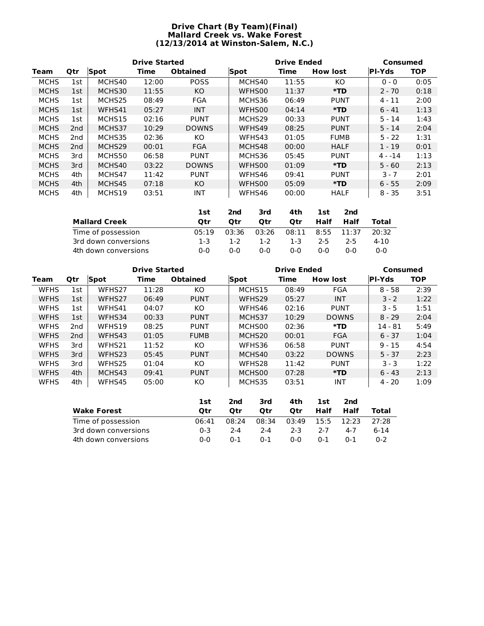# **Drive Chart (By Team)(Final) Mallard Creek vs. Wake Forest (12/13/2014 at Winston-Salem, N.C.)**

|             |                 |        | <b>Drive Started</b> |                 |        | <b>Drive Ended</b> |                 |               |            |  |  | <b>Consumed</b> |  |
|-------------|-----------------|--------|----------------------|-----------------|--------|--------------------|-----------------|---------------|------------|--|--|-----------------|--|
| Team        | Qtr             | Spot   | Time                 | <b>Obtained</b> | Spot   | Time               | <b>How lost</b> | <b>PI-Yds</b> | <b>TOP</b> |  |  |                 |  |
| <b>MCHS</b> | 1st             | MCHS40 | 12:00                | <b>POSS</b>     | MCHS40 | 11:55              | KO.             | $0 - 0$       | 0:05       |  |  |                 |  |
| <b>MCHS</b> | 1st             | MCHS30 | 11:55                | KO              | WFHS00 | 11:37              | *TD             | $2 - 70$      | 0:18       |  |  |                 |  |
| <b>MCHS</b> | 1st             | MCHS25 | 08:49                | <b>FGA</b>      | MCHS36 | 06:49              | <b>PUNT</b>     | $4 - 11$      | 2:00       |  |  |                 |  |
| <b>MCHS</b> | 1st             | WFHS41 | 05:27                | <b>INT</b>      | WFHS00 | 04:14              | $*TD$           | $6 - 41$      | 1:13       |  |  |                 |  |
| <b>MCHS</b> | 1st             | MCHS15 | 02:16                | <b>PUNT</b>     | MCHS29 | 00:33              | <b>PUNT</b>     | $5 - 14$      | 1:43       |  |  |                 |  |
| <b>MCHS</b> | 2 <sub>nd</sub> | MCHS37 | 10:29                | <b>DOWNS</b>    | WFHS49 | 08:25              | <b>PUNT</b>     | 5 - 14        | 2:04       |  |  |                 |  |
| <b>MCHS</b> | 2nd             | MCHS35 | 02:36                | KO              | WFHS43 | 01:05              | <b>FUMB</b>     | $5 - 22$      | 1:31       |  |  |                 |  |
| <b>MCHS</b> | 2 <sub>nd</sub> | MCHS29 | 00:01                | <b>FGA</b>      | MCHS48 | 00:00              | <b>HALF</b>     | $1 - 19$      | 0:01       |  |  |                 |  |
| <b>MCHS</b> | 3rd             | MCHS50 | 06:58                | <b>PUNT</b>     | MCHS36 | 05:45              | <b>PUNT</b>     | 4 - -14       | 1:13       |  |  |                 |  |
| <b>MCHS</b> | 3rd             | MCHS40 | 03:22                | <b>DOWNS</b>    | WFHS00 | 01:09              | *TD             | $5 - 60$      | 2:13       |  |  |                 |  |
| <b>MCHS</b> | 4th             | MCHS47 | 11:42                | <b>PUNT</b>     | WFHS46 | 09:41              | <b>PUNT</b>     | $3 - 7$       | 2:01       |  |  |                 |  |
| <b>MCHS</b> | 4th             | MCHS45 | 07:18                | KO              | WFHS00 | 05:09              | *TD             | $6 - 55$      | 2:09       |  |  |                 |  |
| <b>MCHS</b> | 4th             | MCHS19 | 03:51                | <b>INT</b>      | WFHS46 | 00:00              | <b>HALF</b>     | $8 - 35$      | 3:51       |  |  |                 |  |

|                      | 1st   | 2nd   | 3rd     | 4th        | 1st  | 2nd        |       |
|----------------------|-------|-------|---------|------------|------|------------|-------|
| <b>Mallard Creek</b> | Otr   | Otr   | Otr     | <b>Otr</b> | Half | Half       | Total |
| Time of possession   | 05:19 | 03:36 | 03:26   | 08:11      |      | 8:55 11:37 | 20:32 |
| 3rd down conversions | 1-3   | 1-2   | $1 - 2$ | $1 - 3$    | 2-5  | $2-5$      | 4-10  |
| 4th down conversions | ი-ი   | ი-ი   | 0-0     | 0-0        | 0-0  | 0-0        | 0-0   |

|             |                 |        | <b>Drive Started</b><br><b>Drive Ended</b><br>Consumed |                 |                    |       |                 |               |            |
|-------------|-----------------|--------|--------------------------------------------------------|-----------------|--------------------|-------|-----------------|---------------|------------|
| Team        | <b>Qtr</b>      | Spot   | Time                                                   | <b>Obtained</b> | Spot               | Time  | <b>How lost</b> | <b>PI-Yds</b> | <b>TOP</b> |
| <b>WFHS</b> | 1st             | WFHS27 | 11:28                                                  | KO              | MCHS15             | 08:49 | FGA             | $8 - 58$      | 2:39       |
| <b>WFHS</b> | 1st             | WFHS27 | 06:49                                                  | <b>PUNT</b>     | WFHS <sub>29</sub> | 05:27 | <b>INT</b>      | $3 - 2$       | 1:22       |
| <b>WFHS</b> | 1st             | WFHS41 | 04:07                                                  | КO              | WFHS46             | 02:16 | <b>PUNT</b>     | $3 - 5$       | 1:51       |
| <b>WFHS</b> | 1st             | WFHS34 | 00:33                                                  | <b>PUNT</b>     | MCHS37             | 10:29 | <b>DOWNS</b>    | $8 - 29$      | 2:04       |
| <b>WFHS</b> | 2 <sub>nd</sub> | WFHS19 | 08:25                                                  | <b>PUNT</b>     | MCHS00             | 02:36 | *TD             | $14 - 81$     | 5:49       |
| <b>WFHS</b> | 2 <sub>nd</sub> | WFHS43 | 01:05                                                  | <b>FUMB</b>     | MCHS <sub>20</sub> | 00:01 | <b>FGA</b>      | $6 - 37$      | 1:04       |
| <b>WFHS</b> | 3rd             | WFHS21 | 11:52                                                  | KO.             | WFHS36             | 06:58 | <b>PUNT</b>     | $9 - 15$      | 4:54       |
| <b>WFHS</b> | 3rd             | WFHS23 | 05:45                                                  | <b>PUNT</b>     | MCHS40             | 03:22 | <b>DOWNS</b>    | $5 - 37$      | 2:23       |
| <b>WFHS</b> | 3rd             | WFHS25 | 01:04                                                  | КO              | WFHS28             | 11:42 | <b>PUNT</b>     | $3 - 3$       | 1:22       |
| <b>WFHS</b> | 4th             | MCHS43 | 09:41                                                  | <b>PUNT</b>     | MCHS00             | 07:28 | $*TD$           | $6 - 43$      | 2:13       |
| <b>WFHS</b> | 4th             | WFHS45 | 05:00                                                  | KO              | MCHS35             | 03:51 | <b>INT</b>      | $4 - 20$      | 1:09       |

|                      | 1st   | 2nd     | 3rd     | 4th   | 1st     | 2nd        |         |
|----------------------|-------|---------|---------|-------|---------|------------|---------|
| <b>Wake Forest</b>   | Otr   | Otr     | Otr     | Otr   | Half    | Half       | Total   |
| Time of possession   | 06:41 | 08:24   | 08:34   | 03:49 |         | 15:5 12:23 | 27:28   |
| 3rd down conversions | በ-3   | $2 - 4$ | $2 - 4$ | $2-3$ | $2 - 7$ | 4-7        | 6-14    |
| 4th down conversions | ი-ი   | $0 - 1$ | $0 - 1$ | 0-0   | $0 - 1$ | $0 - 1$    | $0 - 2$ |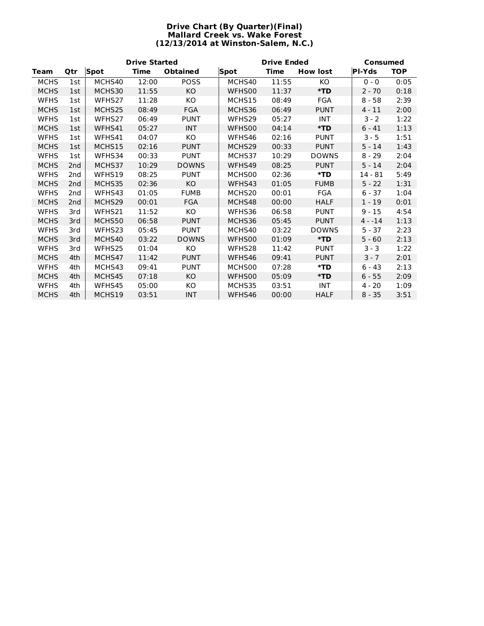# **Drive Chart (By Quarter)(Final) Mallard Creek vs. Wake Forest (12/13/2014 at Winston-Salem, N.C.)**

|             | <b>Drive Started</b> |             |             |                 |             | Consumed    |                 |               |            |
|-------------|----------------------|-------------|-------------|-----------------|-------------|-------------|-----------------|---------------|------------|
| <b>Team</b> | Qtr                  | <b>Spot</b> | <b>Time</b> | <b>Obtained</b> | <b>Spot</b> | <b>Time</b> | <b>How lost</b> | <b>PI-Yds</b> | <b>TOP</b> |
| <b>MCHS</b> | 1st                  | MCHS40      | 12:00       | <b>POSS</b>     | MCHS40      | 11:55       | KO              | $0 - 0$       | 0:05       |
| <b>MCHS</b> | 1st                  | MCHS30      | 11:55       | KO              | WFHS00      | 11:37       | $*TD$           | $2 - 70$      | 0:18       |
| <b>WFHS</b> | 1st                  | WFHS27      | 11:28       | KO              | MCHS15      | 08:49       | FGA             | $8 - 58$      | 2:39       |
| <b>MCHS</b> | 1st                  | MCHS25      | 08:49       | FGA             | MCHS36      | 06:49       | <b>PUNT</b>     | $4 - 11$      | 2:00       |
| <b>WFHS</b> | 1st                  | WFHS27      | 06:49       | <b>PUNT</b>     | WFHS29      | 05:27       | <b>INT</b>      | $3 - 2$       | 1:22       |
| <b>MCHS</b> | 1st                  | WFHS41      | 05:27       | <b>INT</b>      | WFHS00      | 04:14       | $*TD$           | $6 - 41$      | 1:13       |
| <b>WFHS</b> | 1st                  | WFHS41      | 04:07       | KO              | WFHS46      | 02:16       | <b>PUNT</b>     | $3 - 5$       | 1:51       |
| <b>MCHS</b> | 1st                  | MCHS15      | 02:16       | <b>PUNT</b>     | MCHS29      | 00:33       | <b>PUNT</b>     | $5 - 14$      | 1:43       |
| <b>WFHS</b> | 1st                  | WFHS34      | 00:33       | <b>PUNT</b>     | MCHS37      | 10:29       | <b>DOWNS</b>    | $8 - 29$      | 2:04       |
| <b>MCHS</b> | 2 <sub>nd</sub>      | MCHS37      | 10:29       | <b>DOWNS</b>    | WFHS49      | 08:25       | <b>PUNT</b>     | $5 - 14$      | 2:04       |
| <b>WFHS</b> | 2 <sub>nd</sub>      | WFHS19      | 08:25       | <b>PUNT</b>     | MCHS00      | 02:36       | $*$ TD          | 14 - 81       | 5:49       |
| <b>MCHS</b> | 2nd                  | MCHS35      | 02:36       | KO              | WFHS43      | 01:05       | <b>FUMB</b>     | $5 - 22$      | 1:31       |
| <b>WFHS</b> | 2 <sub>nd</sub>      | WFHS43      | 01:05       | <b>FUMB</b>     | MCHS20      | 00:01       | <b>FGA</b>      | $6 - 37$      | 1:04       |
| <b>MCHS</b> | 2nd                  | MCHS29      | 00:01       | <b>FGA</b>      | MCHS48      | 00:00       | <b>HALF</b>     | $1 - 19$      | 0:01       |
| <b>WFHS</b> | 3rd                  | WFHS21      | 11:52       | KO              | WFHS36      | 06:58       | <b>PUNT</b>     | $9 - 15$      | 4:54       |
| <b>MCHS</b> | 3rd                  | MCHS50      | 06:58       | <b>PUNT</b>     | MCHS36      | 05:45       | <b>PUNT</b>     | $4 - 14$      | 1:13       |
| <b>WFHS</b> | 3rd                  | WFHS23      | 05:45       | <b>PUNT</b>     | MCHS40      | 03:22       | <b>DOWNS</b>    | $5 - 37$      | 2:23       |
| <b>MCHS</b> | 3rd                  | MCHS40      | 03:22       | <b>DOWNS</b>    | WFHS00      | 01:09       | $*TD$           | $5 - 60$      | 2:13       |
| <b>WFHS</b> | 3rd                  | WFHS25      | 01:04       | KO              | WFHS28      | 11:42       | <b>PUNT</b>     | $3 - 3$       | 1:22       |
| <b>MCHS</b> | 4th                  | MCHS47      | 11:42       | <b>PUNT</b>     | WFHS46      | 09:41       | <b>PUNT</b>     | $3 - 7$       | 2:01       |
| <b>WFHS</b> | 4th                  | MCHS43      | 09:41       | <b>PUNT</b>     | MCHS00      | 07:28       | $*TD$           | $6 - 43$      | 2:13       |
| <b>MCHS</b> | 4th                  | MCHS45      | 07:18       | KO              | WFHS00      | 05:09       | $*TD$           | $6 - 55$      | 2:09       |
| <b>WFHS</b> | 4th                  | WFHS45      | 05:00       | KO              | MCHS35      | 03:51       | <b>INT</b>      | $4 - 20$      | 1:09       |
| <b>MCHS</b> | 4th                  | MCHS19      | 03:51       | <b>INT</b>      | WFHS46      | 00:00       | <b>HALF</b>     | $8 - 35$      | 3:51       |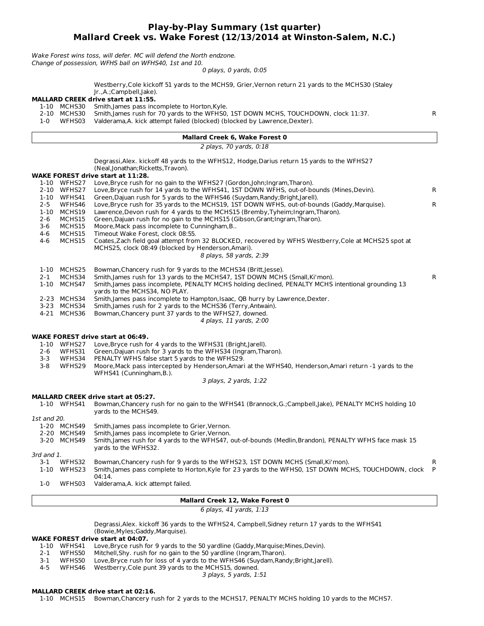# **Play-by-Play Summary (1st quarter) Mallard Creek vs. Wake Forest (12/13/2014 at Winston-Salem, N.C.)**

Wake Forest wins toss, will defer. MC will defend the North endzone. Change of possession, WFHS ball on WFHS40, 1st and 10.

0 plays, 0 yards, 0:05

|             |                                      | Westberry, Cole kickoff 51 yards to the MCHS9, Grier, Vernon return 21 yards to the MCHS30 (Staley                                                                                                                 |        |
|-------------|--------------------------------------|--------------------------------------------------------------------------------------------------------------------------------------------------------------------------------------------------------------------|--------|
|             |                                      | Jr.,A.;Campbell,Jake).<br><b>MALLARD CREEK drive start at 11:55.</b>                                                                                                                                               |        |
| 1-0         | 1-10 MCHS30<br>2-10 MCHS30<br>WFHS03 | Smith, James pass incomplete to Horton, Kyle.<br>Smith, James rush for 70 yards to the WFHS0, 1ST DOWN MCHS, TOUCHDOWN, clock 11:37.<br>Valderama, A. kick attempt failed (blocked) (blocked by Lawrence, Dexter). | R      |
|             |                                      | <b>Mallard Creek 6, Wake Forest 0</b>                                                                                                                                                                              |        |
|             |                                      | 2 plays, 70 yards, 0:18                                                                                                                                                                                            |        |
|             |                                      | Degrassi, Alex. kickoff 48 yards to the WFHS12, Hodge, Darius return 15 yards to the WFHS27<br>(Neal, Jonathan; Ricketts, Travon).                                                                                 |        |
|             |                                      | WAKE FOREST drive start at 11:28.                                                                                                                                                                                  |        |
|             | 1-10 WFHS27<br>2-10 WFHS27           | Love, Bryce rush for no gain to the WFHS27 (Gordon, John; Ingram, Tharon).<br>Love, Bryce rush for 14 yards to the WFHS41, 1ST DOWN WFHS, out-of-bounds (Mines, Devin).                                            | R      |
| $2 - 5$     | 1-10 WFHS41<br>WFHS46                | Green, Dajuan rush for 5 yards to the WFHS46 (Suydam, Randy; Bright, Jarell).<br>Love, Bryce rush for 35 yards to the MCHS19, 1ST DOWN WFHS, out-of-bounds (Gaddy, Marquise).                                      | R      |
|             | 1-10 MCHS19                          | Lawrence, Devon rush for 4 yards to the MCHS15 (Bremby, Tyheim; Ingram, Tharon).                                                                                                                                   |        |
| $2 - 6$     | MCHS15                               | Green, Dajuan rush for no gain to the MCHS15 (Gibson, Grant; Ingram, Tharon).                                                                                                                                      |        |
| 3-6         | MCHS15                               | Moore, Mack pass incomplete to Cunningham, B                                                                                                                                                                       |        |
| 4-6<br>4-6  | MCHS15<br>MCHS15                     | Timeout Wake Forest, clock 08:55.<br>Coates, Zach field goal attempt from 32 BLOCKED, recovered by WFHS Westberry, Cole at MCHS25 spot at                                                                          |        |
|             |                                      | MCHS25, clock 08:49 (blocked by Henderson, Amari).                                                                                                                                                                 |        |
|             |                                      | 8 plays, 58 yards, 2:39                                                                                                                                                                                            |        |
|             | 1-10 MCHS25                          | Bowman, Chancery rush for 9 yards to the MCHS34 (Britt, Jesse).                                                                                                                                                    |        |
| 2-1         | MCHS34                               | Smith, James rush for 13 yards to the MCHS47, 1ST DOWN MCHS (Small, Ki'mon).                                                                                                                                       | R      |
|             | 1-10 MCHS47                          | Smith, James pass incomplete, PENALTY MCHS holding declined, PENALTY MCHS intentional grounding 13                                                                                                                 |        |
|             | 2-23 MCHS34                          | yards to the MCHS34, NO PLAY.<br>Smith, James pass incomplete to Hampton, Isaac, QB hurry by Lawrence, Dexter.                                                                                                     |        |
|             | 3-23 MCHS34                          | Smith, James rush for 2 yards to the MCHS36 (Terry, Antwain).                                                                                                                                                      |        |
|             | 4-21 MCHS36                          | Bowman, Chancery punt 37 yards to the WFHS27, downed.                                                                                                                                                              |        |
|             |                                      | 4 plays, 11 yards, 2:00                                                                                                                                                                                            |        |
|             |                                      | <b>WAKE FOREST drive start at 06:49.</b>                                                                                                                                                                           |        |
|             |                                      | 1-10 WFHS27 Love, Bryce rush for 4 yards to the WFHS31 (Bright, Jarell).                                                                                                                                           |        |
| 2-6         | WFHS31                               | Green, Dajuan rush for 3 yards to the WFHS34 (Ingram, Tharon).                                                                                                                                                     |        |
| $3 - 3$     | WFHS34                               | PENALTY WFHS false start 5 yards to the WFHS29.                                                                                                                                                                    |        |
| $3 - 8$     | WFHS29                               | Moore, Mack pass intercepted by Henderson, Amari at the WFHS40, Henderson, Amari return -1 yards to the<br>WFHS41 (Cunningham, B.).                                                                                |        |
|             |                                      | 3 plays, 2 yards, 1:22                                                                                                                                                                                             |        |
|             |                                      | <b>MALLARD CREEK drive start at 05:27.</b>                                                                                                                                                                         |        |
|             | 1-10 WFHS41                          | Bowman, Chancery rush for no gain to the WFHS41 (Brannock, G.; Campbell, Jake), PENALTY MCHS holding 10                                                                                                            |        |
|             |                                      | yards to the MCHS49.                                                                                                                                                                                               |        |
| 1st and 20. |                                      |                                                                                                                                                                                                                    |        |
|             | 1-20 MCHS49<br>2-20 MCHS49           | Smith, James pass incomplete to Grier, Vernon.<br>Smith, James pass incomplete to Grier, Vernon.                                                                                                                   |        |
|             | 3-20 MCHS49                          | Smith, James rush for 4 yards to the WFHS47, out-of-bounds (Medlin, Brandon), PENALTY WFHS face mask 15                                                                                                            |        |
|             |                                      | yards to the WFHS32.                                                                                                                                                                                               |        |
| 3rd and 1.  |                                      |                                                                                                                                                                                                                    |        |
| 3-1         | WFHS32<br>1-10 WFHS23                | Bowman, Chancery rush for 9 yards to the WFHS23, 1ST DOWN MCHS (Small, Ki'mon).<br>Smith, James pass complete to Horton, Kyle for 23 yards to the WFHS0, 1ST DOWN MCHS, TOUCHDOWN, clock                           | R<br>P |
|             |                                      | 04:14.                                                                                                                                                                                                             |        |
| $1-0$       | WFHS03                               | Valderama, A. kick attempt failed.                                                                                                                                                                                 |        |
|             |                                      | Mallard Creek 12, Wake Forest 0                                                                                                                                                                                    |        |
|             |                                      | $C_{\text{rel}} = 41 \dots 41$                                                                                                                                                                                     |        |

6 plays, 41 yards, 1:13

Degrassi,Alex. kickoff 36 yards to the WFHS24, Campbell,Sidney return 17 yards to the WFHS41 (Bowie,Myles;Gaddy,Marquise).

# **WAKE FOREST drive start at 04:07.**

- 1-10 WFHS41 Love,Bryce rush for 9 yards to the 50 yardline (Gaddy,Marquise;Mines,Devin).
- 
- 2-1 WFHS50 Mitchell, Shy. rush for no gain to the 50 yardline (Ingram, Tharon).<br>3-1 WFHS50 Love, Bryce rush for loss of 4 yards to the WFHS46 (Suydam, Ran 3-1 WFHS50 Love, Bryce rush for loss of 4 yards to the WFHS46 (Suydam, Randy; Bright, Jarell).<br>4-5 WFHS46 Westberry, Cole punt 39 yards to the MCHS15, downed.
- WFHS46 Westberry, Cole punt 39 yards to the MCHS15, downed.

3 plays, 5 yards, 1:51

# **MALLARD CREEK drive start at 02:16.**

1-10 MCHS15 Bowman,Chancery rush for 2 yards to the MCHS17, PENALTY MCHS holding 10 yards to the MCHS7.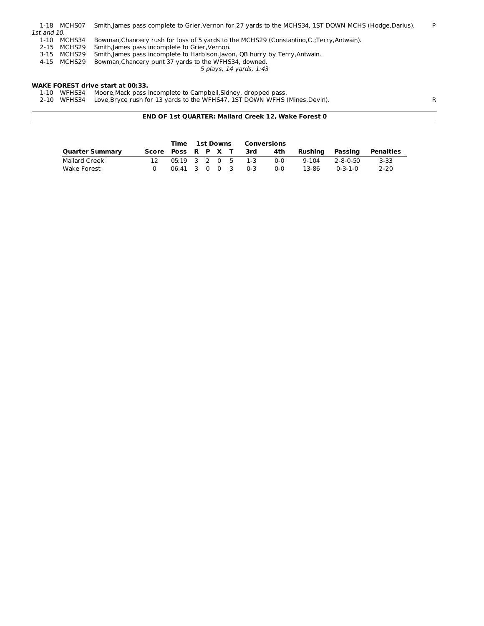|             | 1-18 MCHS07 | Smith, James pass complete to Grier, Vernon for 27 yards to the MCHS34, 1ST DOWN MCHS (Hodge, Darius). | P |
|-------------|-------------|--------------------------------------------------------------------------------------------------------|---|
| 1st and 10. |             |                                                                                                        |   |
|             | 1-10 MCHS34 | Bowman, Chancery rush for loss of 5 yards to the MCHS29 (Constantino, C.; Terry, Antwain).             |   |
|             | 2-15 MCHS29 | Smith, James pass incomplete to Grier, Vernon.                                                         |   |
|             | 3-15 MCHS29 | Smith, James pass incomplete to Harbison, Javon, QB hurry by Terry, Antwain.                           |   |
|             | 4-15 MCHS29 | Bowman, Chancery punt 37 yards to the WFHS34, downed.                                                  |   |
|             |             | 5 plays, 14 yards, 1:43                                                                                |   |

## **WAKE FOREST drive start at 00:33.**

1-10 WFHS34 Moore,Mack pass incomplete to Campbell,Sidney, dropped pass.

2-10 WFHS34 Love,Bryce rush for 13 yards to the WFHS47, 1ST DOWN WFHS (Mines,Devin). R

**END OF 1st QUARTER: Mallard Creek 12, Wake Forest 0**

|                        |                    |                   | Time 1st Downs Conversions |  |  |     |     |           |                 |           |
|------------------------|--------------------|-------------------|----------------------------|--|--|-----|-----|-----------|-----------------|-----------|
| <b>Quarter Summary</b> | Score Poss R P X T |                   |                            |  |  | 3rd | 4th | Rushina   | Passing         | Penalties |
| Mallard Creek          | 12.                | 05:19 3 2 0 5 1-3 |                            |  |  |     | 0-0 | $9 - 104$ | 2-8-0-50        | $3 - 33$  |
| Wake Forest            |                    | 06:41 3 0 0 3 0-3 |                            |  |  |     | ი-ი | 13-86     | $0 - 3 - 1 - 0$ | $2 - 20$  |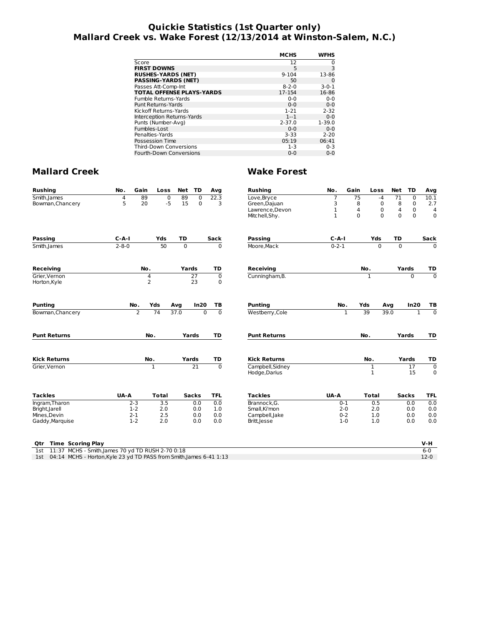# **Quickie Statistics (1st Quarter only) Mallard Creek vs. Wake Forest (12/13/2014 at Winston-Salem, N.C.)**

|                                  | <b>MCHS</b> | WFHS        |
|----------------------------------|-------------|-------------|
| Score                            | 12          | 0           |
| <b>FIRST DOWNS</b>               | 5           | 3           |
| <b>RUSHES-YARDS (NET)</b>        | $9 - 104$   | 13-86       |
| <b>PASSING-YARDS (NET)</b>       | 50          | 0           |
| Passes Att-Comp-Int              | $8 - 2 - 0$ | $3 - 0 - 1$ |
| <b>TOTAL OFFENSE PLAYS-YARDS</b> | 17-154      | 16-86       |
| Fumble Returns-Yards             | $0 - 0$     | $0 - 0$     |
| Punt Returns-Yards               | $0 - 0$     | $0 - 0$     |
| Kickoff Returns-Yards            | $1 - 21$    | $2 - 32$    |
| Interception Returns-Yards       | $1 - 1$     | $0 - 0$     |
| Punts (Number-Avg)               | $2 - 37.0$  | $1 - 39.0$  |
| Fumbles-Lost                     | $0 - 0$     | $0 - 0$     |
| Penalties-Yards                  | $3 - 33$    | $2 - 20$    |
| Possession Time                  | 05:19       | 06:41       |
| <b>Third-Down Conversions</b>    | $1 - 3$     | $0 - 3$     |
| <b>Fourth-Down Conversions</b>   | $0 - 0$     | $0 - 0$     |
|                                  |             |             |

| <b>Rushing</b>                                                             | No.         | Gain           | Loss           | Net            | TD              | Avg            | <b>Rushing</b>                    | No.          | Gain         | Loss              | Net             | TD           | Avg              |
|----------------------------------------------------------------------------|-------------|----------------|----------------|----------------|-----------------|----------------|-----------------------------------|--------------|--------------|-------------------|-----------------|--------------|------------------|
| Smith, James                                                               | 4           | 89             | $\overline{0}$ | 89             | $\overline{0}$  | 22.3           | Love, Bryce                       | 7            | 75           | $-4$              | $\overline{71}$ | 0            | 10.1             |
| Bowman, Chancery                                                           | 5           | 20             | $-5$           | 15             | $\Omega$        | 3              | Green, Dajuan                     | 3            | 8            | 0                 | 8               | $\mathbf 0$  | 2.7              |
|                                                                            |             |                |                |                |                 |                | Lawrence, Devon                   | 1            | 4            | $\mathbf 0$       | $\overline{4}$  | $\mathbf 0$  | 4                |
|                                                                            |             |                |                |                |                 |                | Mitchell, Shy.                    | $\mathbf{1}$ | $\Omega$     | $\Omega$          | $\Omega$        | $\Omega$     | $\Omega$         |
| <b>Passing</b>                                                             | $C - A - I$ |                | Yds            | TD             |                 | Sack           | <b>Passing</b>                    | $C-A-I$      |              | Yds               | TD              |              | Sack             |
| Smith, James                                                               | $2 - 8 - 0$ |                | 50             | $\overline{0}$ |                 | $\Omega$       | Moore.Mack                        | $0 - 2 - 1$  |              | $\overline{0}$    | $\overline{0}$  |              | $\Omega$         |
| <b>Receiving</b>                                                           |             | No.            |                | Yards          |                 | TD             | <b>Receiving</b>                  |              |              | No.               |                 | Yards        | TD               |
| Grier.Vernon                                                               |             | $\overline{4}$ |                |                | 27              | $\mathbf 0$    | Cunningham, B.                    |              |              | $\mathbf{1}$      |                 | $\Omega$     | $\overline{0}$   |
| Horton, Kyle                                                               |             | $\overline{2}$ |                |                | 23              | 0              |                                   |              |              |                   |                 |              |                  |
| <b>Punting</b>                                                             |             | No.            | Yds            | Avg            | In20            | ТB             | <b>Punting</b>                    | No.          |              | Yds               | Avg             | In20         | ΤВ               |
| Bowman, Chancery                                                           |             | $\overline{2}$ | 74             | 37.0           | $\overline{0}$  | $\overline{0}$ | Westberry, Cole                   |              | $\mathbf{1}$ | 39                | 39.0            | $\mathbf{1}$ | $\overline{0}$   |
| <b>Punt Returns</b>                                                        |             |                | No.            |                | Yards           | TD             | <b>Punt Returns</b>               |              |              | No.               |                 | Yards        | TD               |
| <b>Kick Returns</b>                                                        |             |                | No.            |                | Yards           | TD             | <b>Kick Returns</b>               |              |              | No.               |                 | Yards        | TD               |
| Grier, Vernon                                                              |             |                | $\mathbf{1}$   |                | $\overline{21}$ | $\overline{0}$ | Campbell, Sidney<br>Hodge, Darius |              |              | 1<br>$\mathbf{1}$ |                 | 17<br>15     | $\mathbf 0$<br>0 |
| <b>Tackles</b>                                                             | UA-A        |                | <b>Total</b>   |                | <b>Sacks</b>    | <b>TFL</b>     | <b>Tackles</b>                    | UA-A         |              | <b>Total</b>      |                 | <b>Sacks</b> | <b>TFL</b>       |
| Ingram, Tharon                                                             |             | $2 - 3$        | 3.5            |                | 0.0             | 0.0            | Brannock.G.                       | $0 - 1$      |              | 0.5               |                 | 0.0          | 0.0              |
| Bright, Jarell                                                             |             | $1-2$          | 2.0            |                | 0.0             | 1.0            | Small, Ki'mon                     | $2 - 0$      |              | 2.0               |                 | 0.0          | 0.0              |
| Mines, Devin                                                               |             | $2 - 1$        | 2.5            |                | 0.0             | 0.0            | Campbell, Jake                    | $0 - 2$      |              | 1.0               |                 | 0.0          | 0.0              |
| Gaddy, Marquise                                                            |             | $1 - 2$        | 2.0            |                | 0.0             | 0.0            | Britt, Jesse                      | $1 - 0$      |              | 1.0               |                 | 0.0          | 0.0              |
| <b>Time Scoring Play</b><br>Qtr                                            |             |                |                |                |                 |                |                                   |              |              |                   |                 |              | V-H              |
| 11:37 MCHS - Smith, James 70 yd TD RUSH 2-70 0:18<br>1st                   |             |                |                |                |                 |                |                                   |              |              |                   |                 |              | $6 - 0$          |
| 04:14 MCHS - Horton, Kyle 23 yd TD PASS from Smith, James 6-41 1:13<br>1st |             |                |                |                |                 |                |                                   |              |              |                   |                 |              | $12-0$           |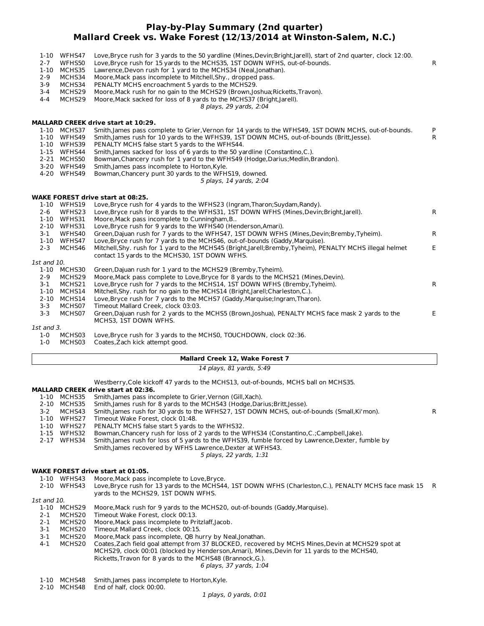# **Play-by-Play Summary (2nd quarter) Mallard Creek vs. Wake Forest (12/13/2014 at Winston-Salem, N.C.)**

| $2 - 7$<br>$2 - 9$<br>$3-9$<br>$3 - 4$<br>$4 - 4$ | 1-10 WFHS47<br>WFHS50<br>1-10 MCHS35<br>MCHS34<br>MCHS34<br>MCHS29<br>MCHS29 | Love, Bryce rush for 3 yards to the 50 yardline (Mines, Devin; Bright, Jarell), start of 2nd quarter, clock 12:00.<br>Love, Bryce rush for 15 yards to the MCHS35, 1ST DOWN WFHS, out-of-bounds.<br>Lawrence, Devon rush for 1 yard to the MCHS34 (Neal, Jonathan).<br>Moore, Mack pass incomplete to Mitchell, Shy., dropped pass.<br>PENALTY MCHS encroachment 5 yards to the MCHS29.<br>Moore, Mack rush for no gain to the MCHS29 (Brown, Joshua; Ricketts, Travon).<br>Moore, Mack sacked for loss of 8 yards to the MCHS37 (Bright, Jarell).<br>8 plays, 29 yards, 2:04 | R            |
|---------------------------------------------------|------------------------------------------------------------------------------|-------------------------------------------------------------------------------------------------------------------------------------------------------------------------------------------------------------------------------------------------------------------------------------------------------------------------------------------------------------------------------------------------------------------------------------------------------------------------------------------------------------------------------------------------------------------------------|--------------|
|                                                   |                                                                              | <b>MALLARD CREEK drive start at 10:29.</b>                                                                                                                                                                                                                                                                                                                                                                                                                                                                                                                                    |              |
|                                                   | 1-10 MCHS37                                                                  | Smith, James pass complete to Grier, Vernon for 14 yards to the WFHS49, 1ST DOWN MCHS, out-of-bounds.                                                                                                                                                                                                                                                                                                                                                                                                                                                                         | P            |
|                                                   | 1-10 WFHS49                                                                  | Smith, James rush for 10 yards to the WFHS39, 1ST DOWN MCHS, out-of-bounds (Britt, Jesse).                                                                                                                                                                                                                                                                                                                                                                                                                                                                                    | R            |
|                                                   | 1-10 WFHS39                                                                  | PENALTY MCHS false start 5 yards to the WFHS44.                                                                                                                                                                                                                                                                                                                                                                                                                                                                                                                               |              |
|                                                   | 1-15 WFHS44                                                                  | Smith, James sacked for loss of 6 yards to the 50 yardline (Constantino, C.).                                                                                                                                                                                                                                                                                                                                                                                                                                                                                                 |              |
|                                                   | 2-21 MCHS50                                                                  | Bowman, Chancery rush for 1 yard to the WFHS49 (Hodge, Darius; Medlin, Brandon).                                                                                                                                                                                                                                                                                                                                                                                                                                                                                              |              |
|                                                   | 3-20 WFHS49                                                                  | Smith, James pass incomplete to Horton, Kyle.                                                                                                                                                                                                                                                                                                                                                                                                                                                                                                                                 |              |
|                                                   | 4-20 WFHS49                                                                  | Bowman, Chancery punt 30 yards to the WFHS19, downed.                                                                                                                                                                                                                                                                                                                                                                                                                                                                                                                         |              |
|                                                   |                                                                              | 5 plays, 14 yards, 2:04                                                                                                                                                                                                                                                                                                                                                                                                                                                                                                                                                       |              |
|                                                   |                                                                              | <b>WAKE FOREST drive start at 08:25.</b>                                                                                                                                                                                                                                                                                                                                                                                                                                                                                                                                      |              |
|                                                   | 1-10 WFHS19                                                                  | Love, Bryce rush for 4 yards to the WFHS23 (Ingram, Tharon; Suydam, Randy).                                                                                                                                                                                                                                                                                                                                                                                                                                                                                                   |              |
| $2 - 6$                                           | WFHS23                                                                       | Love, Bryce rush for 8 yards to the WFHS31, 1ST DOWN WFHS (Mines, Devin; Bright, Jarell).                                                                                                                                                                                                                                                                                                                                                                                                                                                                                     | R            |
|                                                   | 1-10 WFHS31                                                                  | Moore, Mack pass incomplete to Cunningham, B                                                                                                                                                                                                                                                                                                                                                                                                                                                                                                                                  |              |
|                                                   | 2-10 WFHS31                                                                  | Love, Bryce rush for 9 yards to the WFHS40 (Henderson, Amari).                                                                                                                                                                                                                                                                                                                                                                                                                                                                                                                |              |
| $3-1$                                             | WFHS40                                                                       | Green, Dajuan rush for 7 yards to the WFHS47, 1ST DOWN WFHS (Mines, Devin; Bremby, Tyheim).                                                                                                                                                                                                                                                                                                                                                                                                                                                                                   | $\mathsf{R}$ |
|                                                   | 1-10 WFHS47                                                                  | Love, Bryce rush for 7 yards to the MCHS46, out-of-bounds (Gaddy, Marquise).                                                                                                                                                                                                                                                                                                                                                                                                                                                                                                  |              |
| $2 - 3$                                           | MCHS46                                                                       | Mitchell, Shy. rush for 1 yard to the MCHS45 (Bright, Jarell; Bremby, Tyheim), PENALTY MCHS illegal helmet                                                                                                                                                                                                                                                                                                                                                                                                                                                                    | E.           |
|                                                   |                                                                              | contact 15 yards to the MCHS30, 1ST DOWN WFHS.                                                                                                                                                                                                                                                                                                                                                                                                                                                                                                                                |              |
| 1st and 10.                                       |                                                                              |                                                                                                                                                                                                                                                                                                                                                                                                                                                                                                                                                                               |              |
|                                                   | 1-10 MCHS30                                                                  | Green, Dajuan rush for 1 yard to the MCHS29 (Bremby, Tyheim).                                                                                                                                                                                                                                                                                                                                                                                                                                                                                                                 |              |
| $2 - 9$                                           | MCHS29                                                                       | Moore, Mack pass complete to Love, Bryce for 8 yards to the MCHS21 (Mines, Devin).                                                                                                                                                                                                                                                                                                                                                                                                                                                                                            |              |
| $3 - 1$                                           | MCHS21                                                                       | Love, Bryce rush for 7 yards to the MCHS14, 1ST DOWN WFHS (Bremby, Tyheim).                                                                                                                                                                                                                                                                                                                                                                                                                                                                                                   | $\mathsf{R}$ |
| $1 - 10$                                          | MCHS14                                                                       | Mitchell, Shy. rush for no gain to the MCHS14 (Bright, Jarell; Charleston, C.).                                                                                                                                                                                                                                                                                                                                                                                                                                                                                               |              |
| $3 - 3$                                           | 2-10 MCHS14<br>MCHS07                                                        | Love, Bryce rush for 7 yards to the MCHS7 (Gaddy, Marguise; Ingram, Tharon).<br>Timeout Mallard Creek, clock 03:03.                                                                                                                                                                                                                                                                                                                                                                                                                                                           |              |
| $3 - 3$                                           | MCHS07                                                                       | Green, Dajuan rush for 2 yards to the MCHS5 (Brown, Joshua), PENALTY MCHS face mask 2 yards to the                                                                                                                                                                                                                                                                                                                                                                                                                                                                            | E.           |
|                                                   |                                                                              | MCHS3, 1ST DOWN WFHS.                                                                                                                                                                                                                                                                                                                                                                                                                                                                                                                                                         |              |
| 1st and 3.                                        |                                                                              |                                                                                                                                                                                                                                                                                                                                                                                                                                                                                                                                                                               |              |
|                                                   |                                                                              |                                                                                                                                                                                                                                                                                                                                                                                                                                                                                                                                                                               |              |

1-0 MCHS03 Love,Bryce rush for 3 yards to the MCHS0, TOUCHDOWN, clock 02:36.

1-0 MCHS03 Coates,Zach kick attempt good.

# **Mallard Creek 12, Wake Forest 7**

14 plays, 81 yards, 5:49

Westberry,Cole kickoff 47 yards to the MCHS13, out-of-bounds, MCHS ball on MCHS35.

# **MALLARD CREEK drive start at 02:36.**

|         | 1-10 MCHS35 | Smith, James pass incomplete to Grier, Vernon (Gill, Xach).                                       |   |
|---------|-------------|---------------------------------------------------------------------------------------------------|---|
|         | 2-10 MCHS35 | Smith, James rush for 8 yards to the MCHS43 (Hodge, Darius; Britt, Jesse).                        |   |
| $3 - 2$ | MCHS43      | Smith, James rush for 30 yards to the WFHS27, 1ST DOWN MCHS, out-of-bounds (Small, Ki'mon).       | R |
| 1-10    | WFHS27      | Timeout Wake Forest, clock 01:48.                                                                 |   |
| 1-10    | WFHS27      | PENALTY MCHS false start 5 yards to the WFHS32.                                                   |   |
|         | 1-15 WFHS32 | Bowman, Chancery rush for loss of 2 yards to the WFHS34 (Constantino, C.; Campbell, Jake).        |   |
| 2-17    | WFHS34      | Smith, James rush for loss of 5 yards to the WFHS39, fumble forced by Lawrence, Dexter, fumble by |   |
|         |             | Smith, James recovered by WFHS Lawrence, Dexter at WFHS43.                                        |   |
|         |             |                                                                                                   |   |

5 plays, 22 yards, 1:31

# **WAKE FOREST drive start at 01:05.**

1-10 WFHS43 Moore,Mack pass incomplete to Love,Bryce.

- 2-10 WFHS43 Love,Bryce rush for 13 yards to the MCHS44, 1ST DOWN WFHS (Charleston,C.), PENALTY MCHS face mask 15 R yards to the MCHS29, 1ST DOWN WFHS.
- 1st and 10.
	- 1-10 MCHS29 Moore,Mack rush for 9 yards to the MCHS20, out-of-bounds (Gaddy,Marquise).
	- 2-1 MCHS20 Timeout Wake Forest, clock 00:13.<br>2-1 MCHS20 Moore, Mack pass incomplete to Pri
	- 2-1 MCHS20 Moore,Mack pass incomplete to Pritzlaff,Jacob.
	- 3-1 MCHS20 Timeout Mallard Creek, clock 00:15.
	- 3-1 MCHS20 Moore,Mack pass incomplete, QB hurry by Neal,Jonathan.
	- 6 plays, 37 yards, 1:04 4-1 MCHS20 Coates,Zach field goal attempt from 37 BLOCKED, recovered by MCHS Mines,Devin at MCHS29 spot at MCHS29, clock 00:01 (blocked by Henderson,Amari), Mines,Devin for 11 yards to the MCHS40, Ricketts,Travon for 8 yards to the MCHS48 (Brannock,G.).
		-
	- 1-10 MCHS48 Smith,James pass incomplete to Horton,Kyle. 2-10 MCHS48 End of half, clock 00:00.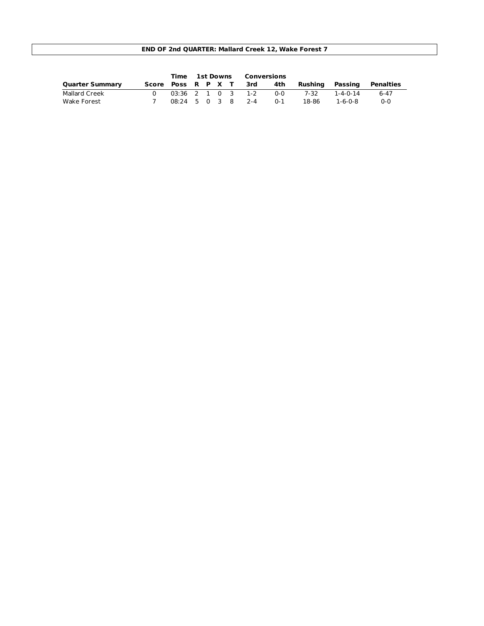# **END OF 2nd QUARTER: Mallard Creek 12, Wake Forest 7**

|                        |                   | Time 1st Downs |  |  | Conversions            |         |         |          |           |
|------------------------|-------------------|----------------|--|--|------------------------|---------|---------|----------|-----------|
| <b>Quarter Summary</b> |                   |                |  |  | Score Poss R P X T 3rd | 4th     | Rushina | Passing  | Penalties |
| Mallard Creek          |                   |                |  |  | 03:36 2 1 0 3 1-2      | ი-ი     | 7-32    | 1-4-0-14 | 6-47      |
| Wake Forest            | 08:24 5 0 3 8 2-4 |                |  |  |                        | $0 - 1$ | 18-86   | 1-6-0-8  | $0 - 0$   |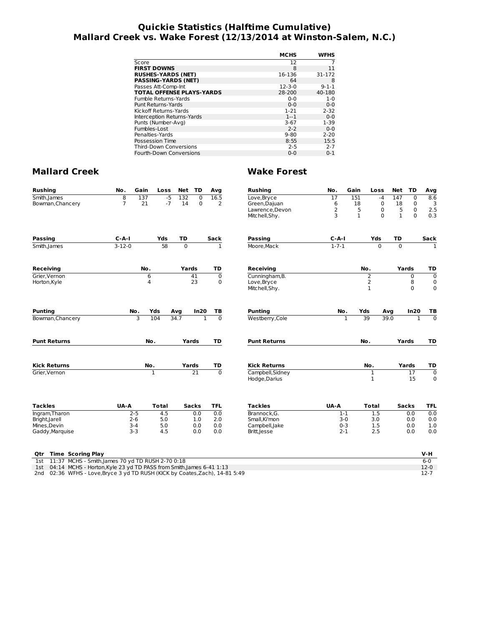# **Quickie Statistics (Halftime Cumulative) Mallard Creek vs. Wake Forest (12/13/2014 at Winston-Salem, N.C.)**

|                                  | <b>MCHS</b>  | <b>WFHS</b> |
|----------------------------------|--------------|-------------|
| Score                            | 12           |             |
| <b>FIRST DOWNS</b>               | 8            | 11          |
| <b>RUSHES-YARDS (NET)</b>        | 16-136       | 31-172      |
| <b>PASSING-YARDS (NET)</b>       | 64           | 8           |
| Passes Att-Comp-Int              | $12 - 3 - 0$ | $9 - 1 - 1$ |
| <b>TOTAL OFFENSE PLAYS-YARDS</b> | 28-200       | 40-180      |
| Fumble Returns-Yards             | $0 - 0$      | $1 - 0$     |
| <b>Punt Returns-Yards</b>        | $0 - 0$      | $0 - 0$     |
| Kickoff Returns-Yards            | $1 - 21$     | $2 - 32$    |
| Interception Returns-Yards       | $1 - 1$      | $0 - 0$     |
| Punts (Number-Avg)               | $3-67$       | $1 - 39$    |
| Fumbles-Lost                     | $2 - 2$      | $0 - 0$     |
| Penalties-Yards                  | $9 - 80$     | $2 - 20$    |
| Possession Time                  | 8:55         | 15:5        |
| <b>Third-Down Conversions</b>    | $2 - 5$      | $2 - 7$     |
| Fourth-Down Conversions          | $0 - 0$      | $0 - 1$     |

| <b>Rushing</b>                                                                  | No.            | Gain         | Loss | <b>Net</b>     | TD              | Avg            | <b>Rushing</b>                    | No.         | Gain         | Loss              | <b>Net</b>        | <b>TD</b>                | Avg              |
|---------------------------------------------------------------------------------|----------------|--------------|------|----------------|-----------------|----------------|-----------------------------------|-------------|--------------|-------------------|-------------------|--------------------------|------------------|
| Smith, James                                                                    | $\overline{8}$ | 137          | $-5$ | 132            | $\mathbf 0$     | 16.5           | Love, Bryce                       | 17          | 151          |                   | $-4$<br>147       | $\overline{0}$           | 8.6              |
| Bowman, Chancery                                                                | $\overline{7}$ | 21           | $-7$ | 14             | $\Omega$        | $\overline{2}$ | Green, Dajuan                     | 6           | 18           |                   | $\mathbf 0$<br>18 | $\mathbf 0$              | 3                |
|                                                                                 |                |              |      |                |                 |                | Lawrence, Devon                   | 2           | 5            |                   | 0                 | 5<br>0                   | 2.5              |
|                                                                                 |                |              |      |                |                 |                | Mitchell, Shy.                    | 3           | $\mathbf{1}$ |                   | $\Omega$          | $\mathbf{1}$<br>$\Omega$ | 0.3              |
| <b>Passing</b>                                                                  | $C-A-I$        |              | Yds  | TD             |                 | Sack           | Passing                           | $C-A-I$     |              | Yds               | TD                |                          | Sack             |
| Smith, James                                                                    | $3 - 12 - 0$   |              | 58   | $\overline{0}$ |                 | $\mathbf{1}$   | Moore.Mack                        | $1 - 7 - 1$ |              | $\overline{0}$    |                   | $\Omega$                 | 1                |
| <b>Receiving</b>                                                                |                | No.          |      | Yards          |                 | TD             | Receiving                         |             |              | No.               |                   | Yards                    | TD               |
| Grier, Vernon                                                                   |                | 6            |      |                | 41              | $\overline{0}$ | Cunningham, B.                    |             |              | 2                 |                   | 0                        | $\overline{0}$   |
| Horton, Kyle                                                                    |                | 4            |      |                | 23              | $\mathbf 0$    | Love, Bryce                       |             |              | $\overline{2}$    |                   | 8                        | $\mathbf 0$      |
|                                                                                 |                |              |      |                |                 |                | Mitchell, Shy.                    |             |              | $\mathbf{1}$      |                   | $\mathbf 0$              | $\mathbf 0$      |
| <b>Punting</b>                                                                  |                | No.<br>Yds   |      | Avq            | In20            | ΤВ             | <b>Punting</b>                    | No.         |              | Yds               | Avg               | In20                     | ΤВ               |
| Bowman, Chancery                                                                |                | 3<br>104     |      | 34.7           | $\mathbf{1}$    | $\Omega$       | Westberry, Cole                   |             | $\mathbf{1}$ | 39                | 39.0              | $\mathbf{1}$             | $\overline{0}$   |
| <b>Punt Returns</b>                                                             |                | No.          |      |                | Yards           | TD             | <b>Punt Returns</b>               |             |              | No.               |                   | Yards                    | TD               |
| <b>Kick Returns</b>                                                             |                | No.          |      | Yards          |                 | TD             | <b>Kick Returns</b>               |             |              | No.               |                   | Yards                    | TD               |
| Grier.Vernon                                                                    |                | $\mathbf{1}$ |      |                | $\overline{21}$ | $\overline{0}$ | Campbell, Sidney<br>Hodge, Darius |             |              | 1<br>$\mathbf{1}$ |                   | $\overline{17}$<br>15    | $\mathbf 0$<br>0 |
|                                                                                 |                |              |      |                |                 |                |                                   |             |              |                   |                   |                          |                  |
| <b>Tackles</b>                                                                  | UA-A           | <b>Total</b> |      |                | <b>Sacks</b>    | <b>TFL</b>     | <b>Tackles</b>                    | UA-A        |              | <b>Total</b>      |                   | <b>Sacks</b>             | <b>TFL</b>       |
| Ingram, Tharon                                                                  |                | $2 - 5$      | 4.5  |                | 0.0             | 0.0            | Brannock.G.                       | $1 - 1$     |              | 1.5               |                   | 0.0                      | 0.0              |
| Bright, Jarell                                                                  |                | $2 - 6$      | 5.0  |                | 1.0             | 2.0            | Small.Ki'mon                      | $3-0$       |              | 3.0               |                   | 0.0                      | 0.0              |
| Mines, Devin                                                                    |                | $3-4$        | 5.0  |                | 0.0             | 0.0            | Campbell, Jake                    | $0 - 3$     |              | 1.5               |                   | 0.0                      | 1.0              |
| Gaddy, Marquise                                                                 |                | $3 - 3$      | 4.5  |                | 0.0             | 0.0            | Britt, Jesse                      | $2 - 1$     |              | 2.5               |                   | 0.0                      | 0.0              |
| <b>Time Scoring Play</b><br>Qtr                                                 |                |              |      |                |                 |                |                                   |             |              |                   |                   |                          | V-H              |
| 11:37 MCHS - Smith, James 70 yd TD RUSH 2-70 0:18<br>1st                        |                |              |      |                |                 |                |                                   |             |              |                   |                   |                          | $6-0$            |
| 04:14 MCHS - Horton, Kyle 23 yd TD PASS from Smith, James 6-41 1:13<br>1st      |                |              |      |                |                 |                |                                   |             |              |                   |                   |                          | $12-0$           |
| 02:36 WFHS - Love, Bryce 3 yd TD RUSH (KICK by Coates, Zach), 14-81 5:49<br>2nd |                |              |      |                |                 |                |                                   |             |              |                   |                   |                          | $12 - 7$         |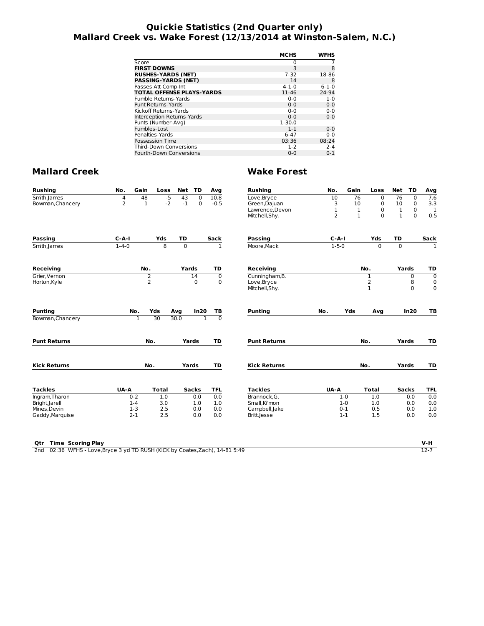# **Quickie Statistics (2nd Quarter only) Mallard Creek vs. Wake Forest (12/13/2014 at Winston-Salem, N.C.)**

|                                  | <b>MCHS</b> | WFHS        |
|----------------------------------|-------------|-------------|
| Score                            | 0           |             |
| <b>FIRST DOWNS</b>               | 3           | 8           |
| <b>RUSHES-YARDS (NET)</b>        | $7 - 32$    | 18-86       |
| <b>PASSING-YARDS (NET)</b>       | 14          | 8           |
| Passes Att-Comp-Int              | $4 - 1 - 0$ | $6 - 1 - 0$ |
| <b>TOTAL OFFENSE PLAYS-YARDS</b> | 11-46       | 24-94       |
| Fumble Returns-Yards             | $0 - 0$     | $1 - 0$     |
| <b>Punt Returns-Yards</b>        | $0 - 0$     | $0 - 0$     |
| Kickoff Returns-Yards            | $0 - 0$     | $0 - 0$     |
| Interception Returns-Yards       | $0 - 0$     | $0 - 0$     |
| Punts (Number-Avg)               | $1 - 30.0$  |             |
| Fumbles-Lost                     | $1 - 1$     | $0 - 0$     |
| Penalties-Yards                  | $6 - 47$    | $0 - 0$     |
| Possession Time                  | 03:36       | 08:24       |
| <b>Third-Down Conversions</b>    | $1 - 2$     | $2 - 4$     |
| Fourth-Down Conversions          | $0 - 0$     | $0 - 1$     |

| <b>Rushing</b>                 | No.         | Gain<br>Loss       |                     | Net TD       | Avg                            | <b>Rushing</b>                  | No.                | Gain         | Loss           | Net          | <b>TD</b>    | Avg                       |
|--------------------------------|-------------|--------------------|---------------------|--------------|--------------------------------|---------------------------------|--------------------|--------------|----------------|--------------|--------------|---------------------------|
| Smith, James                   | 4           | 48                 | $-5$<br>43          | $\Omega$     | 10.8                           | Love, Bryce                     | 10                 | 76           | $\mathbf 0$    | 76           | $\mathbf 0$  | 7.6                       |
| Bowman, Chancery               | 2           | $\mathbf{1}$       | $-2$<br>$-1$        | $\mathbf 0$  | $-0.5$                         | Green, Dajuan                   | 3                  | 10           | $\mathbf 0$    | 10           | $\mathbf 0$  | 3.3                       |
|                                |             |                    |                     |              |                                | Lawrence, Devon                 | $\mathbf 1$        | 1            | $\mathbf 0$    | $\mathbf 1$  | $\mathbf 0$  | $\mathbf{1}$              |
|                                |             |                    |                     |              |                                | Mitchell, Shy.                  | $\overline{2}$     | $\mathbf{1}$ | $\Omega$       | $\mathbf{1}$ | $\Omega$     | 0.5                       |
| <b>Passing</b>                 | $C - A - I$ | Yds                | <b>TD</b>           |              | <b>Sack</b>                    | <b>Passing</b>                  | $C-A-I$            |              | Yds            | <b>TD</b>    |              | Sack                      |
| Smith, James                   | $1 - 4 - 0$ |                    | 8<br>$\overline{0}$ |              | $\overline{1}$                 | Moore.Mack                      | $1 - 5 - 0$        |              | $\Omega$       | $\Omega$     |              | $\overline{1}$            |
| Receiving                      |             | No.                |                     | Yards        | TD                             | <b>Receiving</b>                |                    |              | No.            |              | Yards        | TD                        |
| Grier, Vernon                  |             | 2                  |                     | 14           | $\overline{0}$                 | Cunningham, B.                  |                    |              | $\mathbf{1}$   |              | $\mathbf 0$  | $\overline{\mathfrak{o}}$ |
| Horton, Kyle                   |             | $\overline{2}$     |                     | $\Omega$     | $\mathbf 0$                    | Love, Bryce                     |                    |              | $\overline{2}$ |              | 8            | $\mathbf 0$               |
|                                |             |                    |                     |              |                                | Mitchell, Shy.                  |                    |              | $\mathbf{1}$   |              | $\Omega$     | $\mathbf 0$               |
| Puntina                        |             | No.<br>Yds         | Avg                 | In20         | TB                             | <b>Punting</b>                  | No.                | Yds          | Avg            |              | In20         | ТB                        |
| Bowman, Chancery               |             | 30<br>$\mathbf{1}$ | 30.0                |              | $\overline{0}$<br>$\mathbf{1}$ |                                 |                    |              |                |              |              |                           |
| <b>Punt Returns</b>            |             | No.                |                     | Yards        | TD                             | <b>Punt Returns</b>             |                    |              | No.            |              | Yards        | TD                        |
|                                |             | No.                |                     |              |                                |                                 |                    |              |                |              |              | TD                        |
| <b>Kick Returns</b>            |             |                    |                     | Yards        | TD                             | <b>Kick Returns</b>             |                    | No.          |                | Yards        |              |                           |
|                                |             |                    |                     |              |                                |                                 |                    |              |                |              |              |                           |
| <b>Tackles</b>                 | UA-A        | <b>Total</b>       |                     | <b>Sacks</b> | <b>TFL</b>                     | <b>Tackles</b>                  | UA-A               |              | <b>Total</b>   |              | <b>Sacks</b> | <b>TFL</b>                |
| Ingram, Tharon                 | $1 - 4$     | $0 - 2$<br>1.0     |                     | 0.0<br>1.0   | 0.0                            | Brannock, G.                    | $1 - 0$<br>$1 - 0$ |              | 1.0            |              | 0.0          | 0.0                       |
| Bright, Jarell<br>Mines, Devin | $1-3$       | 3.0<br>2.5         |                     | 0.0          | 1.0<br>0.0                     | Small, Ki'mon<br>Campbell, Jake | $0 - 1$            |              | 1.0<br>0.5     |              | 0.0<br>0.0   | 0.0<br>1.0                |

| <b>Qtr</b> Time Scoring Play                                                 | V-H |
|------------------------------------------------------------------------------|-----|
| 2nd 02:36 WFHS - Love, Bryce 3 yd TD RUSH (KICK by Coates, Zach), 14-81 5:49 |     |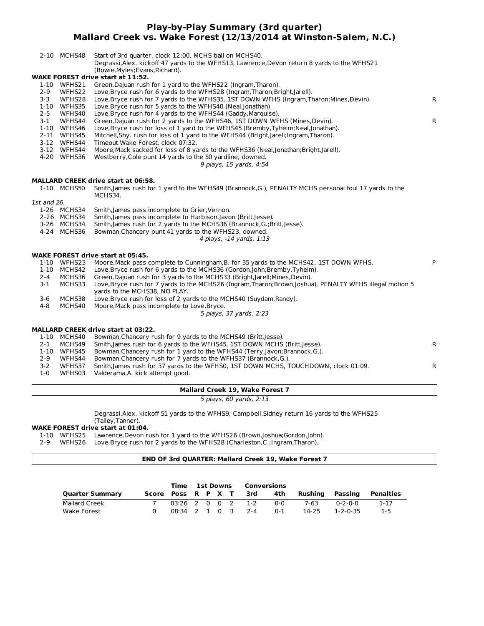# **Play-by-Play Summary (3rd quarter) Mallard Creek vs. Wake Forest (12/13/2014 at Winston-Salem, N.C.)**

|             | 2-10 MCHS48 | Start of 3rd quarter, clock 12:00, MCHS ball on MCHS40.<br>Degrassi, Alex. kickoff 47 yards to the WFHS13, Lawrence, Devon return 8 yards to the WFHS21 |              |
|-------------|-------------|---------------------------------------------------------------------------------------------------------------------------------------------------------|--------------|
|             |             | (Bowie, Myles; Evans, Richard).<br><b>WAKE FOREST drive start at 11:52.</b>                                                                             |              |
|             | 1-10 WFHS21 | Green, Dajuan rush for 1 yard to the WFHS22 (Ingram, Tharon).                                                                                           |              |
| $2 - 9$     | WFHS22      | Love, Bryce rush for 6 yards to the WFHS28 (Ingram, Tharon; Bright, Jarell).                                                                            |              |
| $3 - 3$     | WFHS28      | Love, Bryce rush for 7 yards to the WFHS35, 1ST DOWN WFHS (Ingram, Tharon; Mines, Devin).                                                               | $\mathsf{R}$ |
|             | 1-10 WFHS35 | Love, Bryce rush for 5 yards to the WFHS40 (Neal, Jonathan).                                                                                            |              |
| $2 - 5$     | WFHS40      | Love, Bryce rush for 4 yards to the WFHS44 (Gaddy, Marquise).                                                                                           |              |
| $3 - 1$     | WFHS44      | Green, Dajuan rush for 2 yards to the WFHS46, 1ST DOWN WFHS (Mines, Devin).                                                                             | $\mathsf{R}$ |
|             | 1-10 WFHS46 | Love, Bryce rush for loss of 1 yard to the WFHS45 (Bremby, Tyheim; Neal, Jonathan).                                                                     |              |
|             | 2-11 WFHS45 | Mitchell, Shy. rush for loss of 1 yard to the WFHS44 (Bright, Jarell; Ingram, Tharon).                                                                  |              |
|             | 3-12 WFHS44 | Timeout Wake Forest, clock 07:32.                                                                                                                       |              |
|             | 3-12 WFHS44 | Moore, Mack sacked for loss of 8 yards to the WFHS36 (Neal, Jonathan; Bright, Jarell).                                                                  |              |
|             | 4-20 WFHS36 | Westberry, Cole punt 14 yards to the 50 yardline, downed.<br>9 plays, 15 yards, 4:54                                                                    |              |
|             |             | <b>MALLARD CREEK drive start at 06:58.</b>                                                                                                              |              |
|             | 1-10 MCHS50 | Smith, James rush for 1 yard to the WFHS49 (Brannock, G.), PENALTY MCHS personal foul 17 yards to the<br>MCHS34.                                        |              |
| 1st and 26. |             |                                                                                                                                                         |              |
|             | 1-26 MCHS34 | Smith, James pass incomplete to Grier, Vernon.                                                                                                          |              |
|             | 2-26 MCHS34 | Smith, James pass incomplete to Harbison, Javon (Britt, Jesse).                                                                                         |              |
|             | 3-26 MCHS34 | Smith, James rush for 2 yards to the MCHS36 (Brannock, G.; Britt, Jesse).                                                                               |              |
|             | 4-24 MCHS36 | Bowman, Chancery punt 41 yards to the WFHS23, downed.                                                                                                   |              |
|             |             | 4 plays, -14 yards, 1:13                                                                                                                                |              |
|             |             | <b>WAKE FOREST drive start at 05:45.</b>                                                                                                                |              |
|             | 1-10 WFHS23 | Moore, Mack pass complete to Cunningham, B. for 35 yards to the MCHS42, 1ST DOWN WFHS.                                                                  | P            |
|             | 1-10 MCHS42 | Love, Bryce rush for 6 yards to the MCHS36 (Gordon, John; Bremby, Tyheim).                                                                              |              |
| $2 - 4$     | MCHS36      | Green, Dajuan rush for 3 yards to the MCHS33 (Bright, Jarell; Mines, Devin).                                                                            |              |
| $3-1$       | MCHS33      | Love, Bryce rush for 7 yards to the MCHS26 (Ingram, Tharon; Brown, Joshua), PENALTY WFHS illegal motion 5<br>yards to the MCHS38, NO PLAY.              |              |
| $3-6$       | MCHS38      | Love, Bryce rush for loss of 2 yards to the MCHS40 (Suydam, Randy).                                                                                     |              |
| $4 - 8$     | MCHS40      | Moore, Mack pass incomplete to Love, Bryce.                                                                                                             |              |
|             |             | 5 plays, 37 yards, 2:23                                                                                                                                 |              |
|             |             | <b>MALLARD CREEK drive start at 03:22.</b>                                                                                                              |              |
|             | 1-10 MCHS40 | Bowman, Chancery rush for 9 yards to the MCHS49 (Britt, Jesse).                                                                                         |              |
| $2 - 1$     | MCHS49      | Smith, James rush for 6 yards to the WFHS45, 1ST DOWN MCHS (Britt, Jesse).                                                                              | $\mathsf{R}$ |
|             | 1-10 WFHS45 | Bowman, Chancery rush for 1 yard to the WFHS44 (Terry, Javon; Brannock, G.).                                                                            |              |
| $2 - 9$     | WFHS44      | Bowman, Chancery rush for 7 yards to the WFHS37 (Brannock, G.).                                                                                         |              |
| $3 - 2$     | WFHS37      | Smith, James rush for 37 yards to the WFHS0, 1ST DOWN MCHS, TOUCHDOWN, clock 01:09.                                                                     | $\mathsf{R}$ |
| $1-0$       | WFHS03      | Valderama, A. kick attempt good.                                                                                                                        |              |
|             |             |                                                                                                                                                         |              |

**Mallard Creek 19, Wake Forest 7**

5 plays, 60 yards, 2:13

Degrassi,Alex. kickoff 51 yards to the WFHS9, Campbell,Sidney return 16 yards to the WFHS25 (Talley,Tanner).

# **WAKE FOREST drive start at 01:04.**

1-10 WFHS25 Lawrence,Devon rush for 1 yard to the WFHS26 (Brown,Joshua;Gordon,John).

2-9 WFHS26 Love,Bryce rush for 2 yards to the WFHS28 (Charleston,C.;Ingram,Tharon).

# **END OF 3rd QUARTER: Mallard Creek 19, Wake Forest 7**

|                        |                        |                   | Time 1st Downs |  | Conversions |                     |         |         |          |           |
|------------------------|------------------------|-------------------|----------------|--|-------------|---------------------|---------|---------|----------|-----------|
| <b>Quarter Summary</b> | Score Poss R P X T 3rd |                   |                |  |             |                     | 4th     | Rushina | Passing  | Penalties |
| Mallard Creek          |                        |                   |                |  |             | $03:26$ 2 0 0 2 1-2 | ი-ი     | 7-63    | በ-2-በ-በ  | 1-17      |
| Wake Forest            |                        | 08:34 2 1 0 3 2-4 |                |  |             |                     | $0 - 1$ | 14-25   | 1-2-0-35 | $1 - 5$   |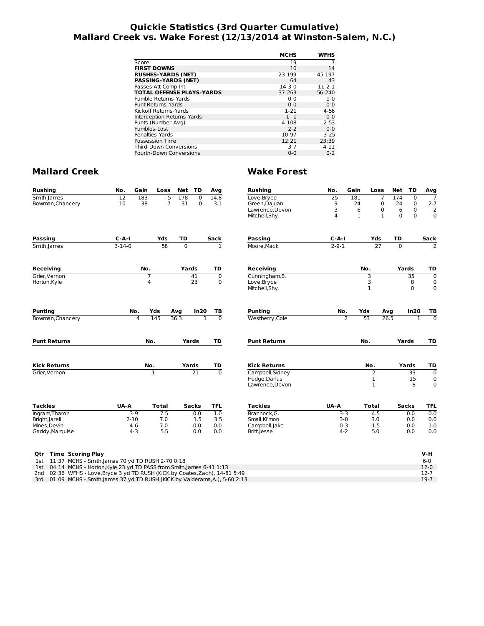# **Quickie Statistics (3rd Quarter Cumulative) Mallard Creek vs. Wake Forest (12/13/2014 at Winston-Salem, N.C.)**

|                                  | <b>MCHS</b>  | <b>WFHS</b>  |
|----------------------------------|--------------|--------------|
| Score                            | 19           |              |
| <b>FIRST DOWNS</b>               | 10           | 14           |
| <b>RUSHES-YARDS (NET)</b>        | 23-199       | 45-197       |
| <b>PASSING-YARDS (NET)</b>       | 64           | 43           |
| Passes Att-Comp-Int              | $14 - 3 - 0$ | $11 - 2 - 1$ |
| <b>TOTAL OFFENSE PLAYS-YARDS</b> | 37-263       | 56-240       |
| Fumble Returns-Yards             | $0 - 0$      | $1 - 0$      |
| Punt Returns-Yards               | $0 - 0$      | $0 - 0$      |
| Kickoff Returns-Yards            | $1 - 21$     | $4 - 56$     |
| Interception Returns-Yards       | $1 - 1$      | $0 - 0$      |
| Punts (Number-Avg)               | 4-108        | $2 - 53$     |
| Fumbles-Lost                     | $2 - 2$      | $0 - 0$      |
| Penalties-Yards                  | 10-97        | $3 - 25$     |
| Possession Time                  | 12:21        | 23:39        |
| <b>Third-Down Conversions</b>    | $3 - 7$      | $4 - 11$     |
| Fourth-Down Conversions          | $0 - 0$      | $0 - 2$      |

| <b>Rushing</b>                                                                              | No.             | Gain           | Loss  | Net      | TD           | Avg            | <b>Rushing</b>                   | No.            | Gain           | Loss              | Net      | TD              | Avg                     |
|---------------------------------------------------------------------------------------------|-----------------|----------------|-------|----------|--------------|----------------|----------------------------------|----------------|----------------|-------------------|----------|-----------------|-------------------------|
| Smith, James                                                                                | $\overline{12}$ | 183            | $-5$  | 178      | $\mathbf 0$  | 14.8           | Love, Bryce                      | 25             | 181            | $-7$              | 174      | $\mathbf 0$     | $\overline{7}$          |
| Bowman, Chancery                                                                            | 10              | 38             | $-7$  | 31       | $\mathbf 0$  | 3.1            | Green, Dajuan                    | 9              | 24             | 0                 | 24       | $\mathbf 0$     | 2.7                     |
|                                                                                             |                 |                |       |          |              |                | Lawrence.Devon                   | 3              | 6              | 0                 | 6        | $\mathbf 0$     | $\overline{2}$          |
|                                                                                             |                 |                |       |          |              |                | Mitchell, Shy.                   | $\overline{4}$ | $\mathbf{1}$   | $-1$              | $\Omega$ | $\mathbf 0$     | $\mathbf 0$             |
| Passing                                                                                     | $C-A-I$         |                | Yds   | TD       |              | <b>Sack</b>    | <b>Passing</b>                   | $C-A-I$        |                | Yds               | TD       |                 | Sack                    |
| Smith, James                                                                                | $3 - 14 - 0$    |                | 58    | $\Omega$ |              | 1              | Moore, Mack                      | $2 - 9 - 1$    |                | 27                | $\Omega$ |                 | $\mathcal{P}$           |
| Receiving                                                                                   |                 | No.            |       | Yards    |              | TD             | <b>Receiving</b>                 |                |                | No.               |          | Yards           | TD                      |
| Grier, Vernon                                                                               |                 | $\overline{7}$ |       |          | 41           | $\mathbf 0$    | Cunningham, B.                   |                |                | 3                 |          | $\overline{35}$ | $\mathbf 0$             |
| Horton, Kyle                                                                                |                 | 4              |       |          | 23           | 0              | Love, Bryce                      |                |                | 3                 |          | 8               | 0                       |
|                                                                                             |                 |                |       |          |              |                | Mitchell, Shy.                   |                |                | $\mathbf{1}$      |          | $\Omega$        | $\mathbf 0$             |
| Punting                                                                                     |                 | No.<br>Yds     |       | Avg      | In20         | тв             | <b>Punting</b>                   | No.            |                | Yds               | Avg      | In20            | ΤВ                      |
| Bowman, Chancery                                                                            |                 | 4              | 145   | 36.3     | $\mathbf{1}$ | $\overline{0}$ | Westberry, Cole                  |                | $\overline{2}$ | 53                | 26.5     | $\mathbf{1}$    | $\overline{0}$          |
| <b>Punt Returns</b>                                                                         |                 | No.            |       |          | Yards        | TD             | <b>Punt Returns</b>              |                |                | No.               |          | Yards           | TD                      |
|                                                                                             |                 |                |       |          |              |                |                                  |                |                |                   |          |                 |                         |
| <b>Kick Returns</b>                                                                         |                 | No.            |       |          | Yards        | TD             | <b>Kick Returns</b>              |                |                | No.               |          | Yards           | TD                      |
| Grier, Vernon                                                                               |                 | 1              |       |          | 21           | $\Omega$       | Campbell, Sidney                 |                |                | 2                 |          | $\overline{33}$ | $\overline{0}$          |
|                                                                                             |                 |                |       |          |              |                | Hodge, Darius<br>Lawrence, Devon |                |                | 1<br>$\mathbf{1}$ |          | 15<br>8         | $\mathbf 0$<br>$\Omega$ |
| <b>Tackles</b>                                                                              | UA-A            |                | Total |          | Sacks        | TFL            | <b>Tackles</b>                   | UA-A           |                | Total             |          | Sacks           | TFL                     |
| Ingram, Tharon                                                                              |                 | $3-9$          | 7.5   |          | 0.0          | 1.0            | Brannock.G.                      |                | $3-3$          | 4.5               |          | 0.0             | 0.0                     |
| Bright, Jarell                                                                              | $2 - 10$        |                | 7.0   |          | 1.5          | 3.5            | Small.Ki'mon                     |                | $3-0$          | 3.0               |          | 0.0             | 0.0                     |
| Mines, Devin                                                                                |                 | $4-6$          | 7.0   |          | 0.0          | 0.0            | Campbell, Jake                   |                | $0 - 3$        | 1.5               |          | 0.0             | 1.0                     |
| Gaddy, Marquise                                                                             |                 | $4 - 3$        | 5.5   |          | 0.0          | 0.0            | Britt, Jesse                     |                | $4 - 2$        | 5.0               |          | 0.0             | 0.0                     |
| <b>Time Scoring Play</b><br>Qtr                                                             |                 |                |       |          |              |                |                                  |                |                |                   |          |                 | V-H                     |
| 11:37 MCHS - Smith, James 70 yd TD RUSH 2-70 0:18<br>1st                                    |                 |                |       |          |              |                |                                  |                |                |                   |          |                 | $6 - 0$                 |
| 04:14 MCHS - Horton, Kyle 23 yd TD PASS from Smith, James 6-41 1:13<br>1st                  |                 |                |       |          |              |                |                                  |                |                |                   |          |                 | $12-0$                  |
| 02:36 WFHS - Love, Bryce 3 yd TD RUSH (KICK by Coates, Zach), 14-81 5:49<br>2 <sub>nd</sub> |                 |                |       |          |              |                |                                  |                |                |                   |          |                 | $12 - 7$                |
| 01:09 MCHS - Smith, James 37 yd TD RUSH (KICK by Valderama, A.), 5-60 2:13<br>3rd           |                 |                |       |          |              |                |                                  |                |                |                   |          |                 | $19-7$                  |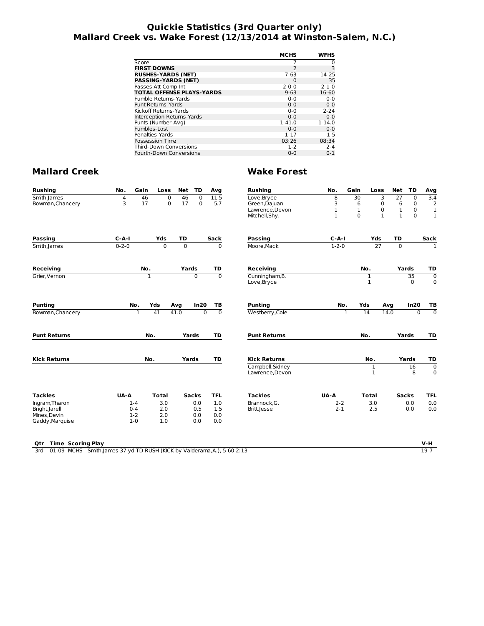# **Quickie Statistics (3rd Quarter only) Mallard Creek vs. Wake Forest (12/13/2014 at Winston-Salem, N.C.)**

|                                  | <b>MCHS</b> | WFHS        |
|----------------------------------|-------------|-------------|
|                                  |             |             |
| Score                            |             | 0           |
| <b>FIRST DOWNS</b>               | 2           | 3           |
| <b>RUSHES-YARDS (NET)</b>        | $7-63$      | 14-25       |
| <b>PASSING-YARDS (NET)</b>       | $\Omega$    | 35          |
| Passes Att-Comp-Int              | $2 - 0 - 0$ | $2 - 1 - 0$ |
| <b>TOTAL OFFENSE PLAYS-YARDS</b> | $9 - 63$    | 16-60       |
| Fumble Returns-Yards             | $0 - 0$     | $0 - 0$     |
| <b>Punt Returns-Yards</b>        | $0 - 0$     | $0 - 0$     |
| Kickoff Returns-Yards            | $0 - 0$     | $2 - 24$    |
| Interception Returns-Yards       | $0 - 0$     | $0 - 0$     |
| Punts (Number-Avg)               | $1 - 41.0$  | $1 - 14.0$  |
| Fumbles-Lost                     | $0 - 0$     | $0 - 0$     |
| Penalties-Yards                  | $1 - 17$    | $1 - 5$     |
| Possession Time                  | 03:26       | 08:34       |
| <b>Third-Down Conversions</b>    | $1 - 2$     | $2 - 4$     |
| <b>Fourth-Down Conversions</b>   | $0 - 0$     | $0 - 1$     |

# **Mallard Creek Wake Forest**

| <b>Rushing</b>                  | No.         | Gain             | Loss             | <b>Net</b>     | TD           | Avg            | <b>Rushing</b>                      | No.          | Gain         | Loss              | <b>Net</b>   | TD             | Avg                           |
|---------------------------------|-------------|------------------|------------------|----------------|--------------|----------------|-------------------------------------|--------------|--------------|-------------------|--------------|----------------|-------------------------------|
| Smith, James                    | 4           | 46               | $\Omega$         | 46             | $\Omega$     | 11.5           | Love, Bryce                         | 8            | 30           | $-3$              | 27           | $\overline{0}$ | $\overline{3.4}$              |
| Bowman, Chancery                | 3           | 17               | $\mathbf 0$      | 17             | $\Omega$     | 5.7            | Green, Dajuan                       | 3            | 6            | $\mathbf 0$       | 6            | $\pmb{0}$      | $\overline{2}$                |
|                                 |             |                  |                  |                |              |                | Lawrence, Devon                     | $\mathbf 1$  | $\mathbf{1}$ | 0                 | $\mathbf{1}$ | $\mathbf 0$    | $\mathbf{1}$                  |
|                                 |             |                  |                  |                |              |                | Mitchell, Shy.                      | $\mathbf{1}$ | $\Omega$     | $-1$              | $-1$         | $\Omega$       | $-1$                          |
| <b>Passing</b>                  | $C - A - I$ |                  | Yds              | TD             |              | Sack           | <b>Passing</b>                      | $C-A-I$      |              | Yds               | <b>TD</b>    |                | Sack                          |
| Smith, James                    | $0 - 2 - 0$ |                  | $\overline{0}$   | $\overline{0}$ |              | $\mathbf 0$    | Moore, Mack                         | $1 - 2 - 0$  |              | 27                | $\mathbf 0$  |                | T                             |
| Receiving                       |             | No.              |                  | Yards          |              | TD             | <b>Receiving</b>                    |              |              | No.               |              | Yards          | TD                            |
| Grier.Vernon                    |             | $\mathbf{1}$     |                  |                | $\Omega$     | $\overline{0}$ | Cunningham, B.                      |              |              | $\mathbf{1}$      |              | 35             | $\mathbf 0$                   |
|                                 |             |                  |                  |                |              |                | Love, Bryce                         |              |              | $\mathbf{1}$      |              | $\Omega$       | $\mathbf 0$                   |
| <b>Punting</b>                  |             | No.              | Yds              | Avg            | In20         | TB             | <b>Punting</b>                      | No.          | Yds          |                   | Avq          | In20           | ТB                            |
| Bowman, Chancery                |             | $\mathbf{1}$     | 41               | 41.0           | $\Omega$     | $\overline{0}$ | Westberry, Cole                     |              | $\mathbf{1}$ | 14                | 14.0         | $\Omega$       | $\overline{0}$                |
| <b>Punt Returns</b>             |             | No.              |                  |                | Yards        | TD             | <b>Punt Returns</b>                 |              |              | No.               |              | Yards          | TD                            |
| <b>Kick Returns</b>             |             | No.              |                  |                | Yards        | TD             | <b>Kick Returns</b>                 |              |              | No.               |              | Yards          | TD                            |
|                                 |             |                  |                  |                |              |                | Campbell, Sidney<br>Lawrence, Devon |              |              | 1<br>$\mathbf{1}$ |              | 16<br>8        | $\overline{0}$<br>$\mathbf 0$ |
| <b>Tackles</b>                  | UA-A        |                  | <b>Total</b>     |                | <b>Sacks</b> | <b>TFL</b>     | <b>Tackles</b>                      | UA-A         |              | <b>Total</b>      |              | <b>Sacks</b>   | <b>TFL</b>                    |
| Ingram, Tharon                  |             | $1 - 4$          | $\overline{3.0}$ |                | 0.0          | 1.0            | Brannock.G.                         | $2 - 2$      |              | $\overline{3.0}$  |              | 0.0            | 0.0                           |
| Bright, Jarell                  |             | $0 - 4$          | 2.0              |                | 0.5          | 1.5            | Britt, Jesse                        | $2 - 1$      |              | 2.5               |              | 0.0            | 0.0                           |
| Mines, Devin<br>Gaddy, Marquise |             | $1-2$<br>$1 - 0$ | 2.0<br>1.0       |                | 0.0<br>0.0   | 0.0<br>0.0     |                                     |              |              |                   |              |                |                               |
|                                 |             |                  |                  |                |              |                |                                     |              |              |                   |              |                |                               |

## **Qtr Time Scoring Play V-H**

3rd 01:09 MCHS - Smith,James 37 yd TD RUSH (KICK by Valderama,A.), 5-60 2:13 19-7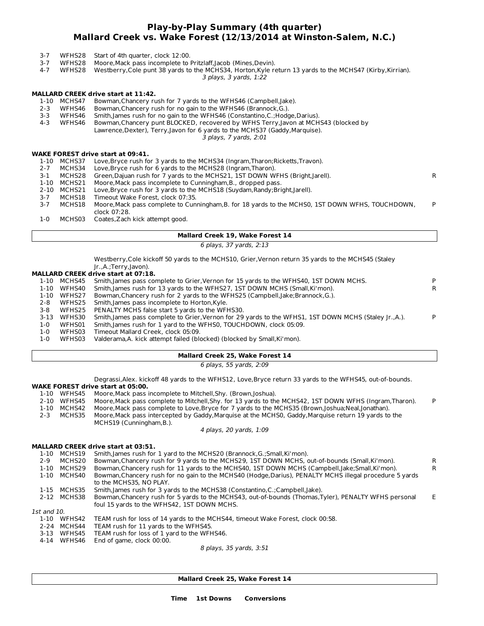# **Play-by-Play Summary (4th quarter) Mallard Creek vs. Wake Forest (12/13/2014 at Winston-Salem, N.C.)**

- 3-7 WFHS28 Start of 4th quarter, clock 12:00.
- 3-7 WFHS28 Moore,Mack pass incomplete to Pritzlaff,Jacob (Mines,Devin).
- 3 plays, 3 yards, 1:22 4-7 WFHS28 Westberry,Cole punt 38 yards to the MCHS34, Horton,Kyle return 13 yards to the MCHS47 (Kirby,Kirrian).

# **MALLARD CREEK drive start at 11:42.**

- 1-10 MCHS47 Bowman,Chancery rush for 7 yards to the WFHS46 (Campbell,Jake).
- 2-3 WFHS46 Bowman,Chancery rush for no gain to the WFHS46 (Brannock,G.).
- 3-3 WFHS46 Smith,James rush for no gain to the WFHS46 (Constantino,C.;Hodge,Darius).
- 4-3 WFHS46 Bowman,Chancery punt BLOCKED, recovered by WFHS Terry,Javon at MCHS43 (blocked by
	- Lawrence,Dexter), Terry,Javon for 6 yards to the MCHS37 (Gaddy,Marquise).

3 plays, 7 yards, 2:01

# **WAKE FOREST drive start at 09:41.**

|         |             | , ANL I ONLYT UITVE SLUIL UL VY. 41.                                                             |    |
|---------|-------------|--------------------------------------------------------------------------------------------------|----|
| 1-10    | MCHS37      | Love, Bryce rush for 3 yards to the MCHS34 (Ingram, Tharon; Ricketts, Travon).                   |    |
| $2 - 7$ | MCHS34      | Love, Bryce rush for 6 yards to the MCHS28 (Ingram, Tharon).                                     |    |
| 3-1     | MCHS28      | Green, Dajuan rush for 7 yards to the MCHS21, 1ST DOWN WFHS (Bright, Jarell).                    | R. |
|         | 1-10 MCHS21 | Moore, Mack pass incomplete to Cunningham, B., dropped pass.                                     |    |
|         | 2-10 MCHS21 | Love, Bryce rush for 3 yards to the MCHS18 (Suydam, Randy; Bright, Jarell).                      |    |
| $3 - 7$ | MCHS18      | Timeout Wake Forest, clock 07:35.                                                                |    |
| 3-7     | MCHS18      | Moore, Mack pass complete to Cunningham, B. for 18 yards to the MCHS0, 1ST DOWN WFHS, TOUCHDOWN, | P  |
|         |             | clock 07:28.                                                                                     |    |
| 1-0     |             | MCHS03 Coates, Zach kick attempt good.                                                           |    |
|         |             |                                                                                                  |    |

- **Mallard Creek 19, Wake Forest 14**
	- 6 plays, 37 yards, 2:13

Westberry,Cole kickoff 50 yards to the MCHS10, Grier,Vernon return 35 yards to the MCHS45 (Staley  $I_r$ .  $\Lambda$ .  $Torr_V$ ,  $Jayon$ 

|          | ji .,A.; ierry,javon). |   |
|----------|------------------------|---|
| ---- - - |                        | . |

| <b>MALLARD CREEK drive start at 07:18.</b> |  |
|--------------------------------------------|--|
| .                                          |  |

| 1-10 | MCHS45 | Smith, James pass complete to Grier, Vernon for 15 yards to the WFHS40, 1ST DOWN MCHS.                 |    |
|------|--------|--------------------------------------------------------------------------------------------------------|----|
| 1-10 | WFHS40 | Smith, James rush for 13 yards to the WFHS27, 1ST DOWN MCHS (Small, Ki'mon).                           | R. |
| 1-10 | WFHS27 | Bowman, Chancery rush for 2 yards to the WFHS25 (Campbell, lake; Brannock, G.).                        |    |
| 2-8  | WFHS25 | Smith, James pass incomplete to Horton, Kyle.                                                          |    |
| 3-8  | WFHS25 | PENALTY MCHS false start 5 yards to the WFHS30.                                                        |    |
| 3-13 | WFHS30 | Smith, James pass complete to Grier, Vernon for 29 yards to the WFHS1, 1ST DOWN MCHS (Staley Ir., A.). | D  |
| 1-0  | WFHS01 | Smith, James rush for 1 yard to the WFHS0, TOUCHDOWN, clock 05:09.                                     |    |
| 1-0  | WFHS03 | Timeout Mallard Creek, clock 05:09.                                                                    |    |

1-0 WFHS03 Valderama,A. kick attempt failed (blocked) (blocked by Small,Ki'mon).

# **Mallard Creek 25, Wake Forest 14**

6 plays, 55 yards, 2:09

Degrassi,Alex. kickoff 48 yards to the WFHS12, Love,Bryce return 33 yards to the WFHS45, out-of-bounds.

- **WAKE FOREST drive start at 05:00.**
- 1-10 WFHS45 Moore, Mack pass incomplete to Mitchell, Shy. (Brown, Joshua).<br>2-10 WFHS45 Moore, Mack pass complete to Mitchell, Shy. for 13 yards to the Moore, Mack pass complete to Mitchell, Shy. for 13 yards to the MCHS42, 1ST DOWN WFHS (Ingram, Tharon). P 1-10 MCHS42 Moore,Mack pass complete to Love,Bryce for 7 yards to the MCHS35 (Brown,Joshua;Neal,Jonathan).
- 2-3 MCHS35 Moore,Mack pass intercepted by Gaddy,Marquise at the MCHS0, Gaddy,Marquise return 19 yards to the MCHS19 (Cunningham,B.).

4 plays, 20 yards, 1:09

## **MALLARD CREEK drive start at 03:51.**

| $1 - 10$    | MCHS19      | Smith, James rush for 1 yard to the MCHS20 (Brannock, G.; Small, Ki'mon).                                                                            |    |
|-------------|-------------|------------------------------------------------------------------------------------------------------------------------------------------------------|----|
| $2 - 9$     | MCHS20      | Bowman, Chancery rush for 9 yards to the MCHS29, 1ST DOWN MCHS, out-of-bounds (Small, Ki'mon).                                                       | R  |
| $1 - 10$    | MCHS29      | Bowman, Chancery rush for 11 yards to the MCHS40, 1ST DOWN MCHS (Campbell, Jake; Small, Ki'mon).                                                     | R  |
| $1 - 10$    | MCHS40      | Bowman, Chancery rush for no gain to the MCHS40 (Hodge, Darius), PENALTY MCHS illegal procedure 5 yards<br>to the MCHS35. NO PLAY.                   |    |
| 1-15        | MCHS35      | Smith, James rush for 3 yards to the MCHS38 (Constantino, C.; Campbell, Jake).                                                                       |    |
|             | 2-12 MCHS38 | Bowman, Chancery rush for 5 yards to the MCHS43, out-of-bounds (Thomas, Tyler), PENALTY WFHS personal<br>foul 15 yards to the WFHS42, 1ST DOWN MCHS. | F. |
| 1st and 10. |             |                                                                                                                                                      |    |
| $1 - 10$    | WFHS42      | TEAM rush for loss of 14 yards to the MCHS44, timeout Wake Forest, clock 00:58.                                                                      |    |
| $2 - 24$    | MCHS44      | TEAM rush for 11 yards to the WFHS45.                                                                                                                |    |
| 3-13        | WFHS45      | TEAM rush for loss of 1 yard to the WFHS46.                                                                                                          |    |
| 4-14        | WFHS46      | End of game, clock 00:00.                                                                                                                            |    |
|             |             | $0$ playe $25$ varde $2.51$                                                                                                                          |    |

8 plays, 35 yards, 3:51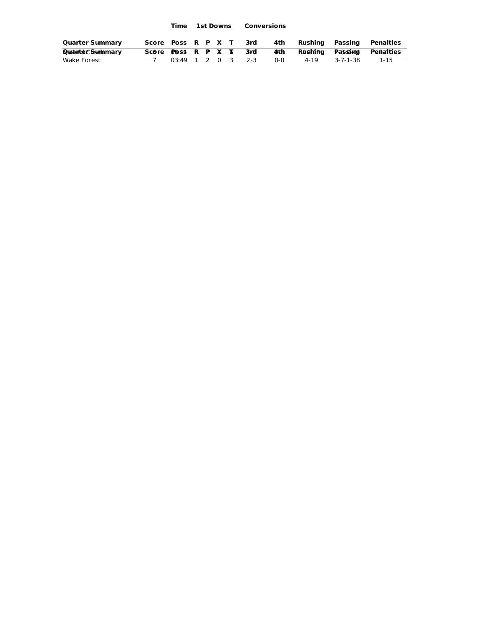**Time 1st Downs Conversions**

| <b>Quarter Summary</b> | Score Poss R P X T 3rd |                     |  |  |     | 4th Rushing Passing |          | Penalties                 |
|------------------------|------------------------|---------------------|--|--|-----|---------------------|----------|---------------------------|
| Quaturte C Summary     | Scôre Poss R P X T 3rd |                     |  |  | 4th |                     |          | Rushing Passing Penalties |
| Wake Forest            |                        | $03:49$ 1 2 0 3 2-3 |  |  | ი-ი | 4-19                | 3-7-1-38 | $1 - 15$                  |